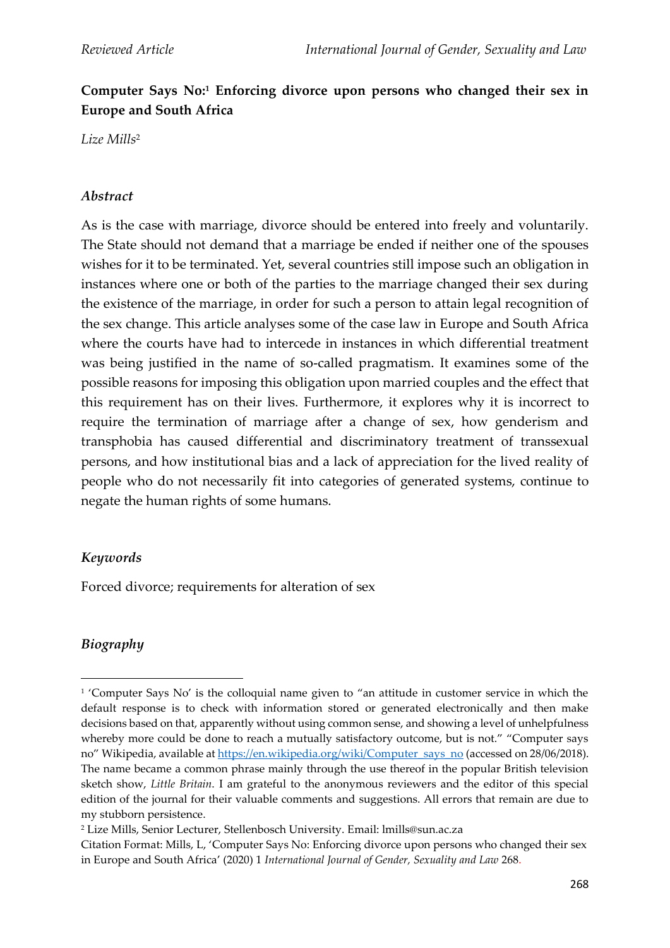# **Computer Says No:<sup>1</sup> Enforcing divorce upon persons who changed their sex in Europe and South Africa**

*Lize Mills*<sup>2</sup>

#### *Abstract*

As is the case with marriage, divorce should be entered into freely and voluntarily. The State should not demand that a marriage be ended if neither one of the spouses wishes for it to be terminated. Yet, several countries still impose such an obligation in instances where one or both of the parties to the marriage changed their sex during the existence of the marriage, in order for such a person to attain legal recognition of the sex change. This article analyses some of the case law in Europe and South Africa where the courts have had to intercede in instances in which differential treatment was being justified in the name of so-called pragmatism. It examines some of the possible reasons for imposing this obligation upon married couples and the effect that this requirement has on their lives. Furthermore, it explores why it is incorrect to require the termination of marriage after a change of sex, how genderism and transphobia has caused differential and discriminatory treatment of transsexual persons, and how institutional bias and a lack of appreciation for the lived reality of people who do not necessarily fit into categories of generated systems, continue to negate the human rights of some humans.

### *Keywords*

Forced divorce; requirements for alteration of sex

### *Biography*

<sup>1</sup> 'Computer Says No' is the colloquial name given to "an attitude in customer service in which the default response is to check with information stored or generated electronically and then make decisions based on that, apparently without using common sense, and showing a level of unhelpfulness whereby more could be done to reach a mutually satisfactory outcome, but is not." "Computer says no" Wikipedia, available a[t https://en.wikipedia.org/wiki/Computer\\_says\\_no](about:blank) (accessed on 28/06/2018). The name became a common phrase mainly through the use thereof in the popular British television sketch show, *Little Britain*. I am grateful to the anonymous reviewers and the editor of this special edition of the journal for their valuable comments and suggestions. All errors that remain are due to my stubborn persistence.

<sup>2</sup> Lize Mills, Senior Lecturer, Stellenbosch University. Email: lmills@sun.ac.za

Citation Format: Mills, L, 'Computer Says No: Enforcing divorce upon persons who changed their sex in Europe and South Africa' (2020) 1 *International Journal of Gender, Sexuality and Law* 268.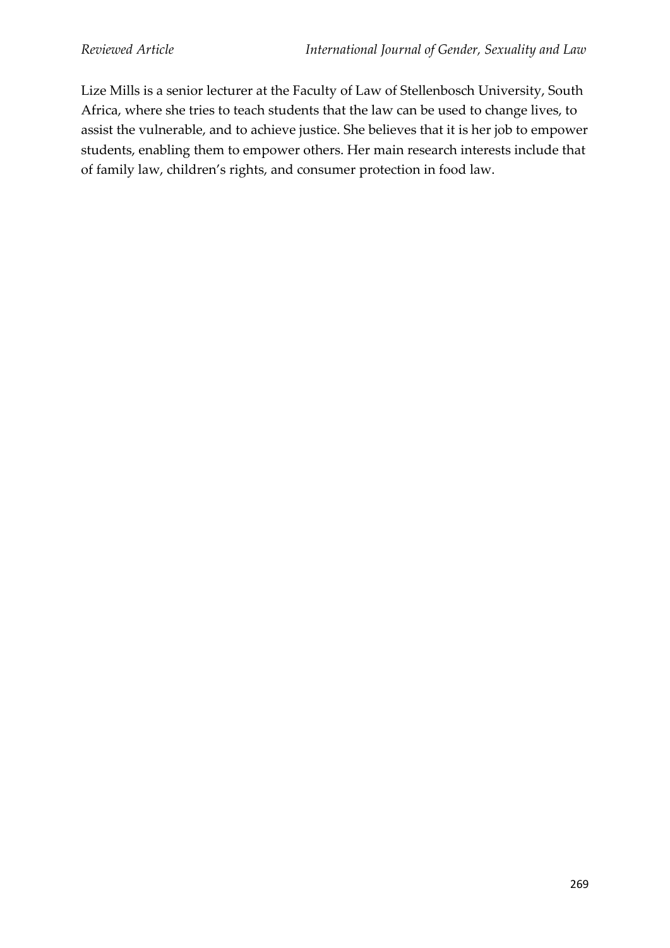Lize Mills is a senior lecturer at the Faculty of Law of Stellenbosch University, South Africa, where she tries to teach students that the law can be used to change lives, to assist the vulnerable, and to achieve justice. She believes that it is her job to empower students, enabling them to empower others. Her main research interests include that of family law, children's rights, and consumer protection in food law.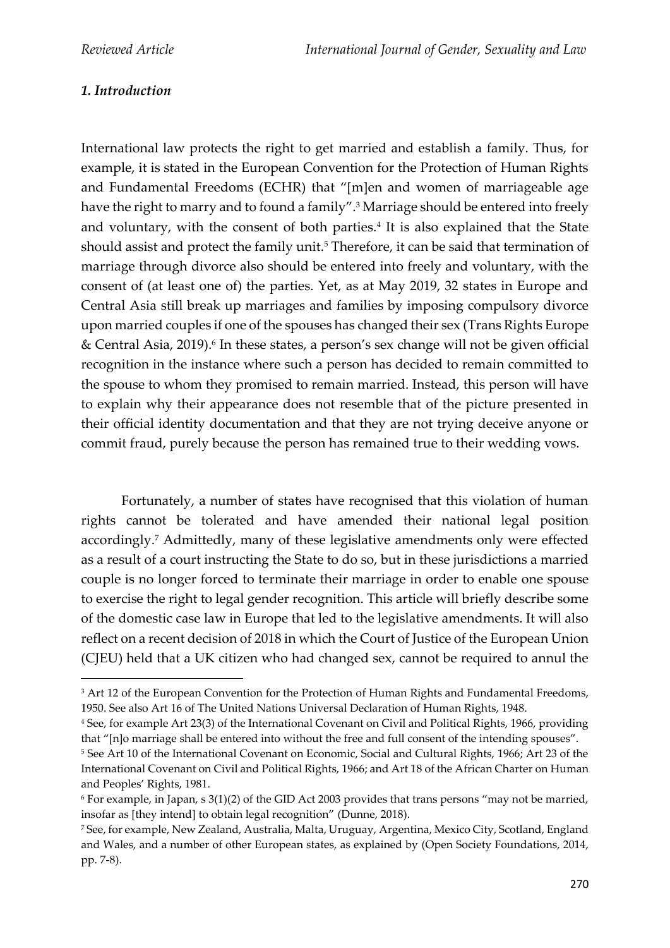## *1. Introduction*

International law protects the right to get married and establish a family. Thus, for example, it is stated in the European Convention for the Protection of Human Rights and Fundamental Freedoms (ECHR) that "[m]en and women of marriageable age have the right to marry and to found a family".<sup>3</sup> Marriage should be entered into freely and voluntary, with the consent of both parties.<sup>4</sup> It is also explained that the State should assist and protect the family unit.<sup>5</sup> Therefore, it can be said that termination of marriage through divorce also should be entered into freely and voluntary, with the consent of (at least one of) the parties. Yet, as at May 2019, 32 states in Europe and Central Asia still break up marriages and families by imposing compulsory divorce upon married couples if one of the spouses has changed their sex (Trans Rights Europe & Central Asia, 2019). 6 In these states, a person's sex change will not be given official recognition in the instance where such a person has decided to remain committed to the spouse to whom they promised to remain married. Instead, this person will have to explain why their appearance does not resemble that of the picture presented in their official identity documentation and that they are not trying deceive anyone or commit fraud, purely because the person has remained true to their wedding vows.

Fortunately, a number of states have recognised that this violation of human rights cannot be tolerated and have amended their national legal position accordingly.<sup>7</sup> Admittedly, many of these legislative amendments only were effected as a result of a court instructing the State to do so, but in these jurisdictions a married couple is no longer forced to terminate their marriage in order to enable one spouse to exercise the right to legal gender recognition. This article will briefly describe some of the domestic case law in Europe that led to the legislative amendments. It will also reflect on a recent decision of 2018 in which the Court of Justice of the European Union (CJEU) held that a UK citizen who had changed sex, cannot be required to annul the

<sup>&</sup>lt;sup>3</sup> Art 12 of the European Convention for the Protection of Human Rights and Fundamental Freedoms, 1950. See also Art 16 of The United Nations Universal Declaration of Human Rights, 1948.

<sup>4</sup> See, for example Art 23(3) of the International Covenant on Civil and Political Rights, 1966, providing that "[n]o marriage shall be entered into without the free and full consent of the intending spouses".

<sup>5</sup> See Art 10 of the International Covenant on Economic, Social and Cultural Rights, 1966; Art 23 of the International Covenant on Civil and Political Rights, 1966; and Art 18 of the African Charter on Human and Peoples' Rights, 1981.

 $6$  For example, in Japan, s  $3(1)(2)$  of the GID Act 2003 provides that trans persons "may not be married, insofar as [they intend] to obtain legal recognition" (Dunne, 2018).

<sup>7</sup> See, for example, New Zealand, Australia, Malta, Uruguay, Argentina, Mexico City, Scotland, England and Wales, and a number of other European states, as explained by (Open Society Foundations, 2014, pp. 7-8).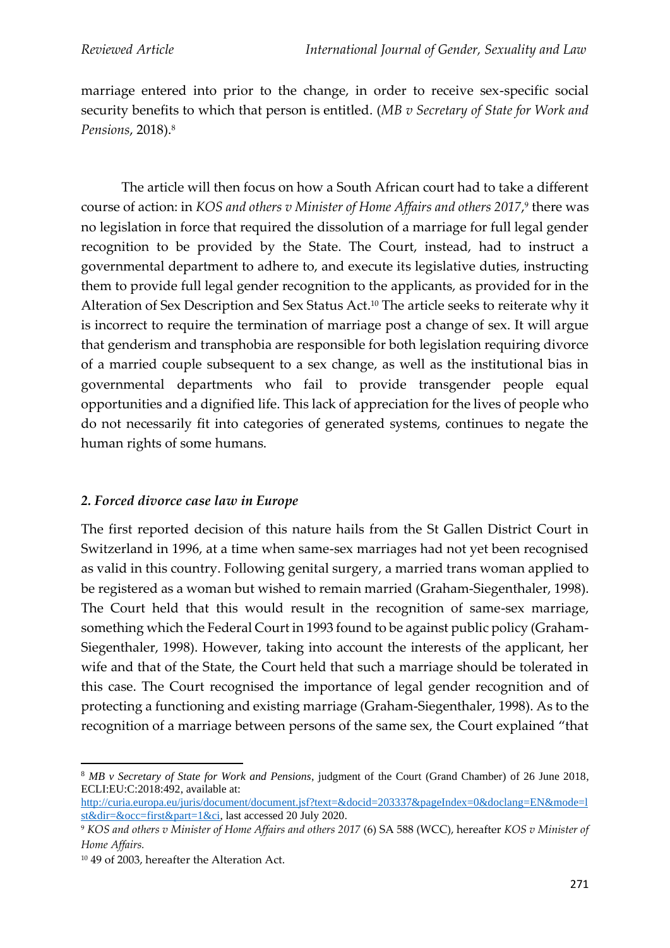marriage entered into prior to the change, in order to receive sex-specific social security benefits to which that person is entitled. (*MB v Secretary of State for Work and Pensions*, 2018). 8

The article will then focus on how a South African court had to take a different course of action: in *KOS and others v Minister of Home Affairs and others 2017*, 9 there was no legislation in force that required the dissolution of a marriage for full legal gender recognition to be provided by the State. The Court, instead, had to instruct a governmental department to adhere to, and execute its legislative duties, instructing them to provide full legal gender recognition to the applicants, as provided for in the Alteration of Sex Description and Sex Status Act. <sup>10</sup> The article seeks to reiterate why it is incorrect to require the termination of marriage post a change of sex. It will argue that genderism and transphobia are responsible for both legislation requiring divorce of a married couple subsequent to a sex change, as well as the institutional bias in governmental departments who fail to provide transgender people equal opportunities and a dignified life. This lack of appreciation for the lives of people who do not necessarily fit into categories of generated systems, continues to negate the human rights of some humans.

## *2. Forced divorce case law in Europe*

The first reported decision of this nature hails from the St Gallen District Court in Switzerland in 1996, at a time when same-sex marriages had not yet been recognised as valid in this country. Following genital surgery, a married trans woman applied to be registered as a woman but wished to remain married (Graham-Siegenthaler, 1998). The Court held that this would result in the recognition of same-sex marriage, something which the Federal Court in 1993 found to be against public policy (Graham-Siegenthaler, 1998). However, taking into account the interests of the applicant, her wife and that of the State, the Court held that such a marriage should be tolerated in this case. The Court recognised the importance of legal gender recognition and of protecting a functioning and existing marriage (Graham-Siegenthaler, 1998). As to the recognition of a marriage between persons of the same sex, the Court explained "that

<sup>8</sup> *MB v Secretary of State for Work and Pensions*, judgment of the Court (Grand Chamber) of 26 June 2018, ECLI:EU:C:2018:492, available at:

[http://curia.europa.eu/juris/document/document.jsf?text=&docid=203337&pageIndex=0&doclang=EN&mode=l](http://curia.europa.eu/juris/document/document.jsf?text=&docid=203337&pageIndex=0&doclang=EN&mode=lst&dir=&occ=first&part=1&ci) [st&dir=&occ=first&part=1&ci,](http://curia.europa.eu/juris/document/document.jsf?text=&docid=203337&pageIndex=0&doclang=EN&mode=lst&dir=&occ=first&part=1&ci) last accessed 20 July 2020.

<sup>9</sup> *KOS and others v Minister of Home Affairs and others 2017* (6) SA 588 (WCC), hereafter *KOS v Minister of Home Affairs.*

<sup>10</sup> 49 of 2003, hereafter the Alteration Act.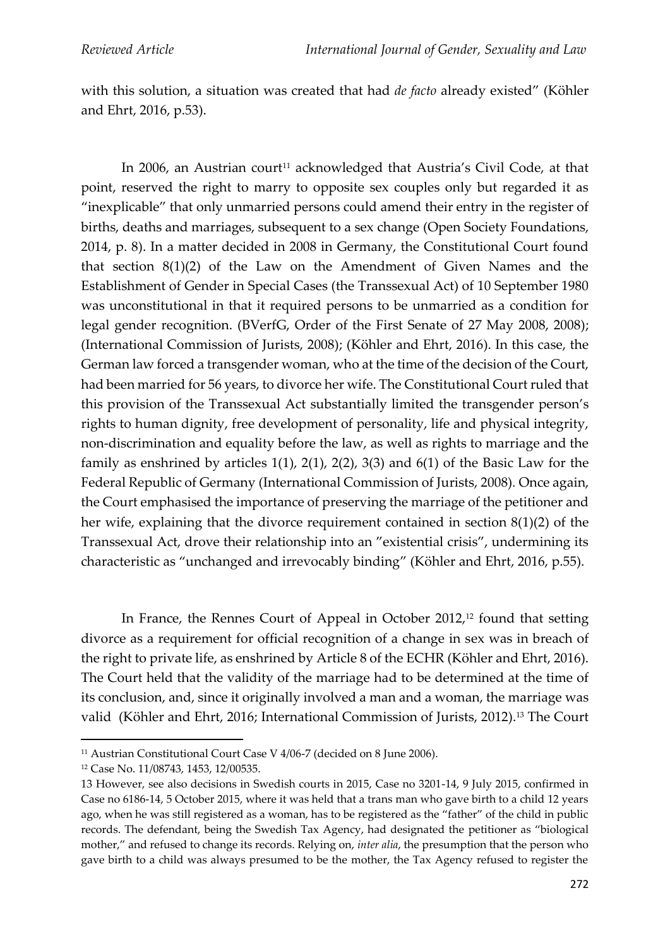with this solution, a situation was created that had *de facto* already existed" (Köhler and Ehrt, 2016, p.53).

In 2006, an Austrian court<sup>11</sup> acknowledged that Austria's Civil Code, at that point, reserved the right to marry to opposite sex couples only but regarded it as "inexplicable" that only unmarried persons could amend their entry in the register of births, deaths and marriages, subsequent to a sex change (Open Society Foundations, 2014, p. 8). In a matter decided in 2008 in Germany, the Constitutional Court found that section 8(1)(2) of the Law on the Amendment of Given Names and the Establishment of Gender in Special Cases (the Transsexual Act) of 10 September 1980 was unconstitutional in that it required persons to be unmarried as a condition for legal gender recognition. (BVerfG, Order of the First Senate of 27 May 2008, 2008); (International Commission of Jurists, 2008); (Köhler and Ehrt, 2016). In this case, the German law forced a transgender woman, who at the time of the decision of the Court, had been married for 56 years, to divorce her wife. The Constitutional Court ruled that this provision of the Transsexual Act substantially limited the transgender person's rights to human dignity, free development of personality, life and physical integrity, non-discrimination and equality before the law, as well as rights to marriage and the family as enshrined by articles  $1(1)$ ,  $2(1)$ ,  $2(2)$ ,  $3(3)$  and  $6(1)$  of the Basic Law for the Federal Republic of Germany (International Commission of Jurists, 2008)*.* Once again, the Court emphasised the importance of preserving the marriage of the petitioner and her wife, explaining that the divorce requirement contained in section 8(1)(2) of the Transsexual Act, drove their relationship into an "existential crisis", undermining its characteristic as "unchanged and irrevocably binding" (Köhler and Ehrt, 2016, p.55).

In France, the Rennes Court of Appeal in October 2012,<sup>12</sup> found that setting divorce as a requirement for official recognition of a change in sex was in breach of the right to private life, as enshrined by Article 8 of the ECHR (Köhler and Ehrt, 2016). The Court held that the validity of the marriage had to be determined at the time of its conclusion, and, since it originally involved a man and a woman, the marriage was valid (Köhler and Ehrt, 2016; International Commission of Jurists, 2012).<sup>13</sup> The Court

<sup>&</sup>lt;sup>11</sup> Austrian Constitutional Court Case V 4/06-7 (decided on 8 June 2006).

<sup>12</sup> Case No. 11/08743, 1453, 12/00535.

<sup>13</sup> However, see also decisions in Swedish courts in 2015, Case no 3201-14, 9 July 2015, confirmed in Case no 6186-14, 5 October 2015, where it was held that a trans man who gave birth to a child 12 years ago, when he was still registered as a woman, has to be registered as the "father" of the child in public records. The defendant, being the Swedish Tax Agency, had designated the petitioner as "biological mother," and refused to change its records. Relying on, *inter alia*, the presumption that the person who gave birth to a child was always presumed to be the mother, the Tax Agency refused to register the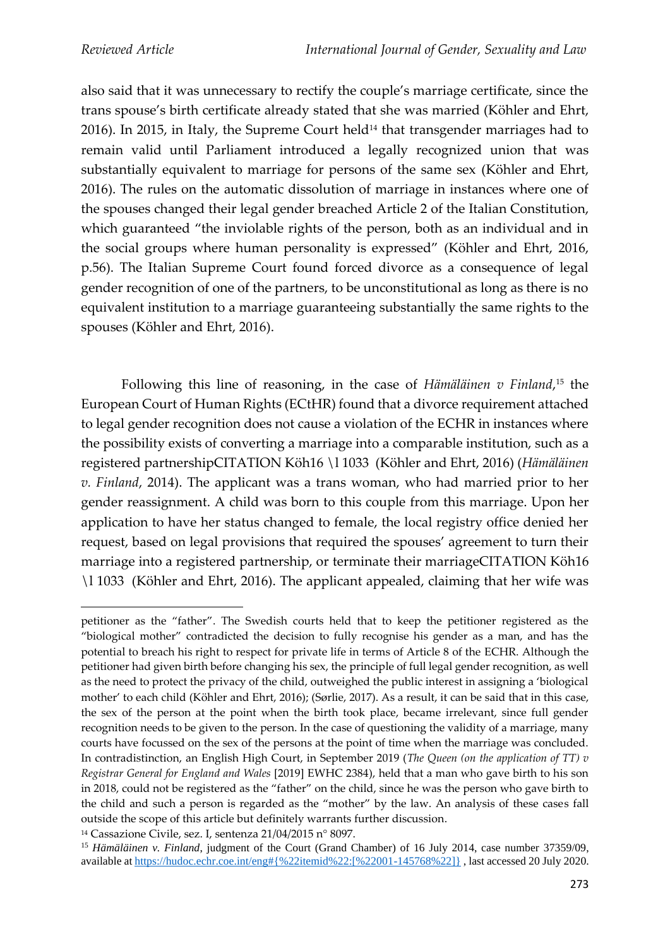also said that it was unnecessary to rectify the couple's marriage certificate, since the trans spouse's birth certificate already stated that she was married (Köhler and Ehrt, 2016). In 2015, in Italy, the Supreme Court held<sup>14</sup> that transgender marriages had to remain valid until Parliament introduced a legally recognized union that was substantially equivalent to marriage for persons of the same sex (Köhler and Ehrt, 2016). The rules on the automatic dissolution of marriage in instances where one of the spouses changed their legal gender breached Article 2 of the Italian Constitution, which guaranteed "the inviolable rights of the person, both as an individual and in the social groups where human personality is expressed" (Köhler and Ehrt, 2016, p.56). The Italian Supreme Court found forced divorce as a consequence of legal gender recognition of one of the partners, to be unconstitutional as long as there is no equivalent institution to a marriage guaranteeing substantially the same rights to the spouses (Köhler and Ehrt, 2016).

Following this line of reasoning, in the case of *Hämäläinen v Finland*, <sup>15</sup> the European Court of Human Rights (ECtHR) found that a divorce requirement attached to legal gender recognition does not cause a violation of the ECHR in instances where the possibility exists of converting a marriage into a comparable institution, such as a registered partnershipCITATION Köh16 \l 1033 (Köhler and Ehrt, 2016) (*Hämäläinen v. Finland*, 2014). The applicant was a trans woman, who had married prior to her gender reassignment. A child was born to this couple from this marriage. Upon her application to have her status changed to female, the local registry office denied her request, based on legal provisions that required the spouses' agreement to turn their marriage into a registered partnership, or terminate their marriageCITATION Köh16 \l 1033 (Köhler and Ehrt, 2016). The applicant appealed, claiming that her wife was

petitioner as the "father". The Swedish courts held that to keep the petitioner registered as the "biological mother" contradicted the decision to fully recognise his gender as a man, and has the potential to breach his right to respect for private life in terms of Article 8 of the ECHR. Although the petitioner had given birth before changing his sex, the principle of full legal gender recognition, as well as the need to protect the privacy of the child, outweighed the public interest in assigning a 'biological mother' to each child (Köhler and Ehrt, 2016); (Sørlie, 2017). As a result, it can be said that in this case, the sex of the person at the point when the birth took place, became irrelevant, since full gender recognition needs to be given to the person. In the case of questioning the validity of a marriage, many courts have focussed on the sex of the persons at the point of time when the marriage was concluded. In contradistinction, an English High Court, in September 2019 (*The Queen (on the application of TT) v Registrar General for England and Wales* [2019] EWHC 2384), held that a man who gave birth to his son in 2018, could not be registered as the "father" on the child, since he was the person who gave birth to the child and such a person is regarded as the "mother" by the law. An analysis of these cases fall outside the scope of this article but definitely warrants further discussion.

<sup>14</sup> Cassazione Civile, sez. I, sentenza 21/04/2015 n° 8097.

<sup>&</sup>lt;sup>15</sup> Hämäläinen v. Finland, judgment of the Court (Grand Chamber) of 16 July 2014, case number 37359/09, available a[t https://hudoc.echr.coe.int/eng#{%22itemid%22:\[%22001-145768%22\]}](https://hudoc.echr.coe.int/eng#{%22itemid%22:[%22001-145768%22]}) , last accessed 20 July 2020.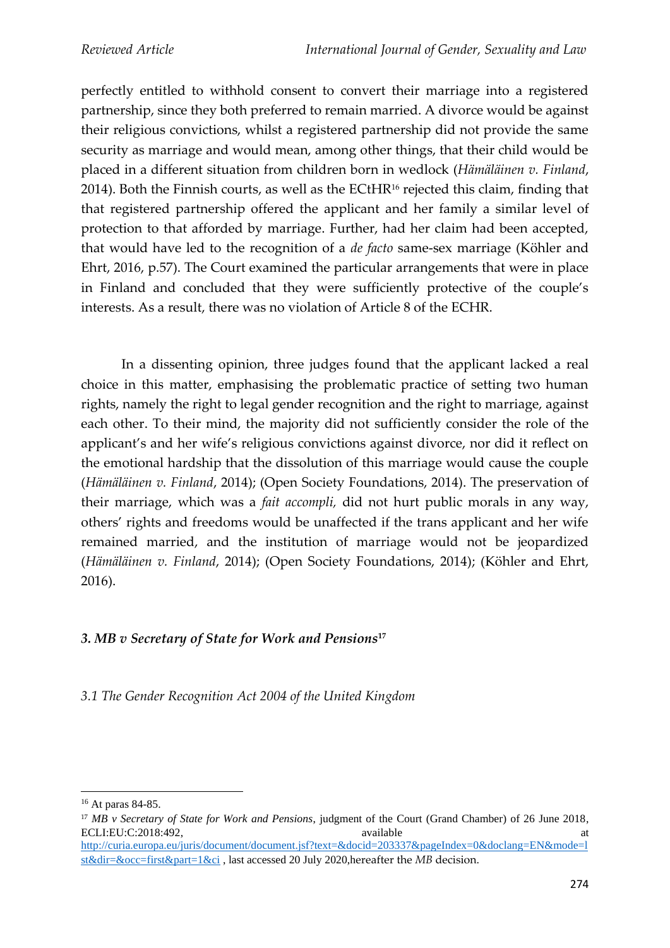perfectly entitled to withhold consent to convert their marriage into a registered partnership, since they both preferred to remain married. A divorce would be against their religious convictions, whilst a registered partnership did not provide the same security as marriage and would mean, among other things, that their child would be placed in a different situation from children born in wedlock (*Hämäläinen v. Finland*, 2014). Both the Finnish courts, as well as the ECtHR $16$  rejected this claim, finding that that registered partnership offered the applicant and her family a similar level of protection to that afforded by marriage. Further, had her claim had been accepted, that would have led to the recognition of a *de facto* same-sex marriage (Köhler and Ehrt, 2016, p.57). The Court examined the particular arrangements that were in place in Finland and concluded that they were sufficiently protective of the couple's interests. As a result, there was no violation of Article 8 of the ECHR.

In a dissenting opinion, three judges found that the applicant lacked a real choice in this matter, emphasising the problematic practice of setting two human rights, namely the right to legal gender recognition and the right to marriage, against each other. To their mind, the majority did not sufficiently consider the role of the applicant's and her wife's religious convictions against divorce, nor did it reflect on the emotional hardship that the dissolution of this marriage would cause the couple (*Hämäläinen v. Finland*, 2014); (Open Society Foundations, 2014). The preservation of their marriage, which was a *fait accompli,* did not hurt public morals in any way, others' rights and freedoms would be unaffected if the trans applicant and her wife remained married, and the institution of marriage would not be jeopardized (*Hämäläinen v. Finland*, 2014); (Open Society Foundations, 2014); (Köhler and Ehrt, 2016).

## *3. MB v Secretary of State for Work and Pensions***<sup>17</sup>**

*3.1 The Gender Recognition Act 2004 of the United Kingdom*

[st&dir=&occ=first&part=1&ci](http://curia.europa.eu/juris/document/document.jsf?text=&docid=203337&pageIndex=0&doclang=EN&mode=lst&dir=&occ=first&part=1&ci) , last accessed 20 July 2020,hereafter the *MB* decision.

<sup>16</sup> At paras 84-85.

<sup>17</sup> *MB v Secretary of State for Work and Pensions*, judgment of the Court (Grand Chamber) of 26 June 2018, ECLI:EU:C:2018:492, available at a security and a security and a security and a security and a security and a security and a security and a security and a security and a security and a security and a security and a securit [http://curia.europa.eu/juris/document/document.jsf?text=&docid=203337&pageIndex=0&doclang=EN&mode=l](http://curia.europa.eu/juris/document/document.jsf?text=&docid=203337&pageIndex=0&doclang=EN&mode=lst&dir=&occ=first&part=1&ci)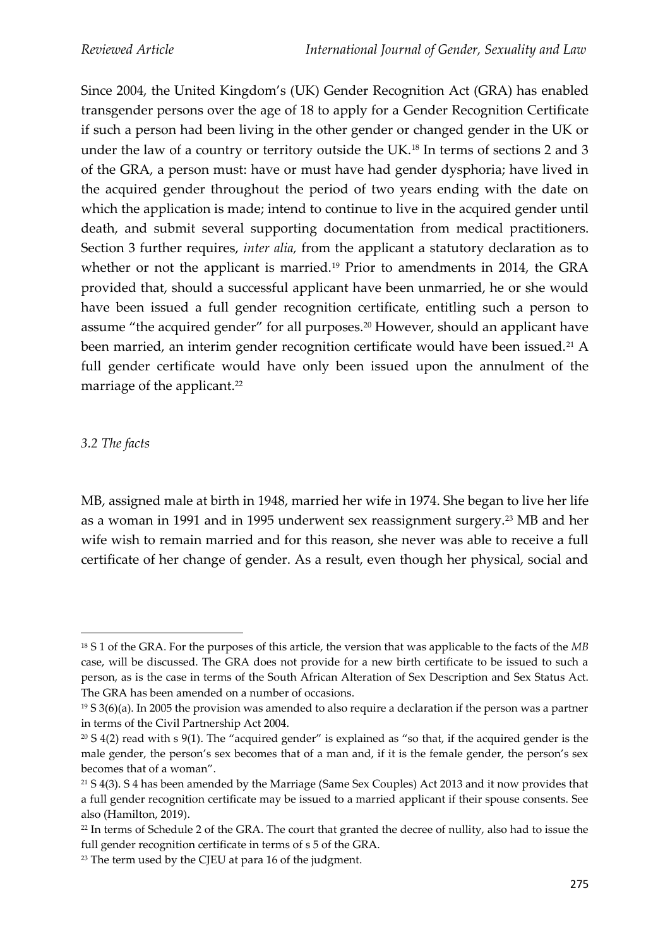Since 2004, the United Kingdom's (UK) Gender Recognition Act (GRA) has enabled transgender persons over the age of 18 to apply for a Gender Recognition Certificate if such a person had been living in the other gender or changed gender in the UK or under the law of a country or territory outside the UK.<sup>18</sup> In terms of sections 2 and 3 of the GRA, a person must: have or must have had gender dysphoria; have lived in the acquired gender throughout the period of two years ending with the date on which the application is made; intend to continue to live in the acquired gender until death, and submit several supporting documentation from medical practitioners. Section 3 further requires, *inter alia,* from the applicant a statutory declaration as to whether or not the applicant is married.<sup>19</sup> Prior to amendments in 2014, the GRA provided that, should a successful applicant have been unmarried, he or she would have been issued a full gender recognition certificate, entitling such a person to assume "the acquired gender" for all purposes.<sup>20</sup> However, should an applicant have been married, an interim gender recognition certificate would have been issued.<sup>21</sup> A full gender certificate would have only been issued upon the annulment of the marriage of the applicant.<sup>22</sup>

### *3.2 The facts*

MB, assigned male at birth in 1948, married her wife in 1974. She began to live her life as a woman in 1991 and in 1995 underwent sex reassignment surgery.<sup>23</sup> MB and her wife wish to remain married and for this reason, she never was able to receive a full certificate of her change of gender. As a result, even though her physical, social and

<sup>18</sup> S 1 of the GRA. For the purposes of this article, the version that was applicable to the facts of the *MB*  case, will be discussed. The GRA does not provide for a new birth certificate to be issued to such a person, as is the case in terms of the South African Alteration of Sex Description and Sex Status Act. The GRA has been amended on a number of occasions.

 $19$  S 3(6)(a). In 2005 the provision was amended to also require a declaration if the person was a partner in terms of the Civil Partnership Act 2004.

 $20 S 4(2)$  read with s 9(1). The "acquired gender" is explained as "so that, if the acquired gender is the male gender, the person's sex becomes that of a man and, if it is the female gender, the person's sex becomes that of a woman".

<sup>21</sup> S 4(3). S 4 has been amended by the Marriage (Same Sex Couples) Act 2013 and it now provides that a full gender recognition certificate may be issued to a married applicant if their spouse consents. See also (Hamilton, 2019).

<sup>&</sup>lt;sup>22</sup> In terms of Schedule 2 of the GRA. The court that granted the decree of nullity, also had to issue the full gender recognition certificate in terms of s 5 of the GRA.

<sup>23</sup> The term used by the CJEU at para 16 of the judgment.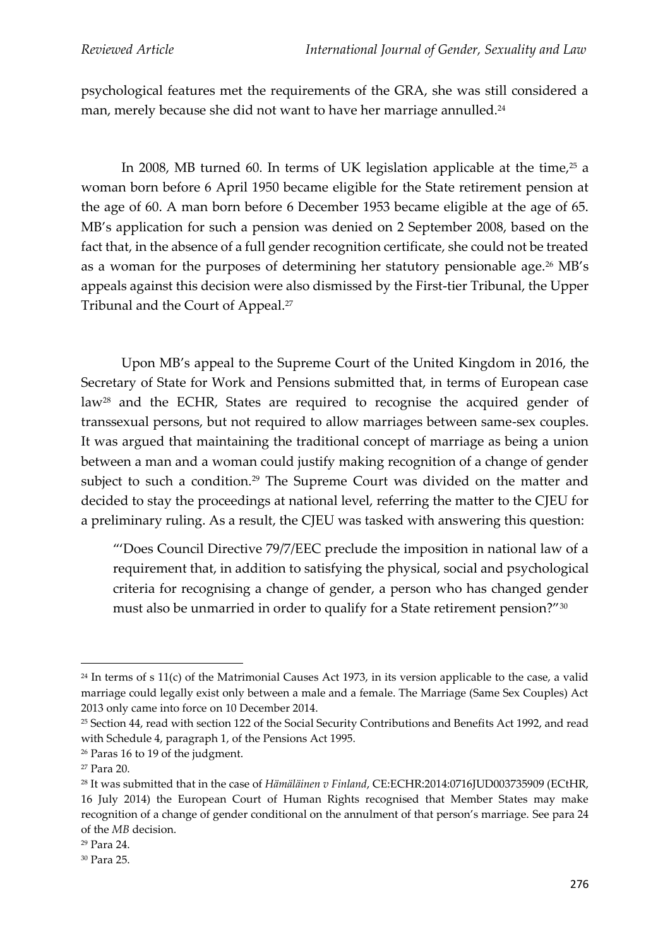psychological features met the requirements of the GRA, she was still considered a man, merely because she did not want to have her marriage annulled.<sup>24</sup>

In 2008, MB turned 60. In terms of UK legislation applicable at the time, <sup>25</sup> a woman born before 6 April 1950 became eligible for the State retirement pension at the age of 60. A man born before 6 December 1953 became eligible at the age of 65. MB's application for such a pension was denied on 2 September 2008, based on the fact that, in the absence of a full gender recognition certificate, she could not be treated as a woman for the purposes of determining her statutory pensionable age.<sup>26</sup> MB's appeals against this decision were also dismissed by the First-tier Tribunal, the Upper Tribunal and the Court of Appeal.<sup>27</sup>

Upon MB's appeal to the Supreme Court of the United Kingdom in 2016, the Secretary of State for Work and Pensions submitted that, in terms of European case law<sup>28</sup> and the ECHR, States are required to recognise the acquired gender of transsexual persons, but not required to allow marriages between same-sex couples. It was argued that maintaining the traditional concept of marriage as being a union between a man and a woman could justify making recognition of a change of gender subject to such a condition.<sup>29</sup> The Supreme Court was divided on the matter and decided to stay the proceedings at national level, referring the matter to the CJEU for a preliminary ruling. As a result, the CJEU was tasked with answering this question:

"'Does Council Directive 79/7/EEC preclude the imposition in national law of a requirement that, in addition to satisfying the physical, social and psychological criteria for recognising a change of gender, a person who has changed gender must also be unmarried in order to qualify for a State retirement pension?"<sup>30</sup>

 $24$  In terms of s 11(c) of the Matrimonial Causes Act 1973, in its version applicable to the case, a valid marriage could legally exist only between a male and a female. The Marriage (Same Sex Couples) Act 2013 only came into force on 10 December 2014.

<sup>25</sup> Section 44, read with section 122 of the Social Security Contributions and Benefits Act 1992, and read with Schedule 4, paragraph 1, of the Pensions Act 1995.

<sup>26</sup> Paras 16 to 19 of the judgment.

<sup>27</sup> Para 20.

<sup>28</sup> It was submitted that in the case of *Hämäläinen v Finland*, CE:ECHR:2014:0716JUD003735909 (ECtHR, 16 July 2014) the European Court of Human Rights recognised that Member States may make recognition of a change of gender conditional on the annulment of that person's marriage. See para 24 of the *MB* decision.

<sup>29</sup> Para 24.

<sup>30</sup> Para 25.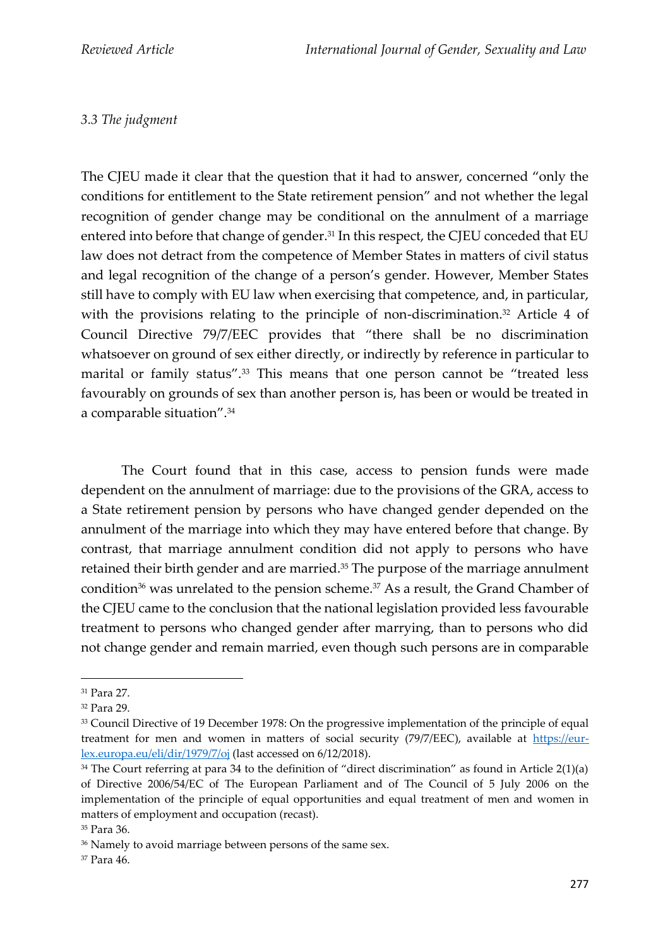## *3.3 The judgment*

The CJEU made it clear that the question that it had to answer, concerned "only the conditions for entitlement to the State retirement pension" and not whether the legal recognition of gender change may be conditional on the annulment of a marriage entered into before that change of gender.<sup>31</sup> In this respect, the CJEU conceded that EU law does not detract from the competence of Member States in matters of civil status and legal recognition of the change of a person's gender. However, Member States still have to comply with EU law when exercising that competence, and, in particular, with the provisions relating to the principle of non-discrimination.<sup>32</sup> Article 4 of Council Directive 79/7/EEC provides that "there shall be no discrimination whatsoever on ground of sex either directly, or indirectly by reference in particular to marital or family status".<sup>33</sup> This means that one person cannot be "treated less favourably on grounds of sex than another person is, has been or would be treated in a comparable situation".<sup>34</sup>

The Court found that in this case, access to pension funds were made dependent on the annulment of marriage: due to the provisions of the GRA, access to a State retirement pension by persons who have changed gender depended on the annulment of the marriage into which they may have entered before that change. By contrast, that marriage annulment condition did not apply to persons who have retained their birth gender and are married.<sup>35</sup> The purpose of the marriage annulment condition<sup>36</sup> was unrelated to the pension scheme.<sup>37</sup> As a result, the Grand Chamber of the CJEU came to the conclusion that the national legislation provided less favourable treatment to persons who changed gender after marrying, than to persons who did not change gender and remain married, even though such persons are in comparable

<sup>31</sup> Para 27.

<sup>32</sup> Para 29.

<sup>&</sup>lt;sup>33</sup> Council Directive of 19 December 1978: On the progressive implementation of the principle of equal treatment for men and women in matters of social security (79/7/EEC), available at [https://eur](about:blank)[lex.europa.eu/eli/dir/1979/7/oj](about:blank) (last accessed on 6/12/2018).

 $34$  The Court referring at para 34 to the definition of "direct discrimination" as found in Article 2(1)(a) of Directive 2006/54/EC of The European Parliament and of The Council of 5 July 2006 on the implementation of the principle of equal opportunities and equal treatment of men and women in matters of employment and occupation (recast).

<sup>35</sup> Para 36.

<sup>&</sup>lt;sup>36</sup> Namely to avoid marriage between persons of the same sex.

<sup>37</sup> Para 46.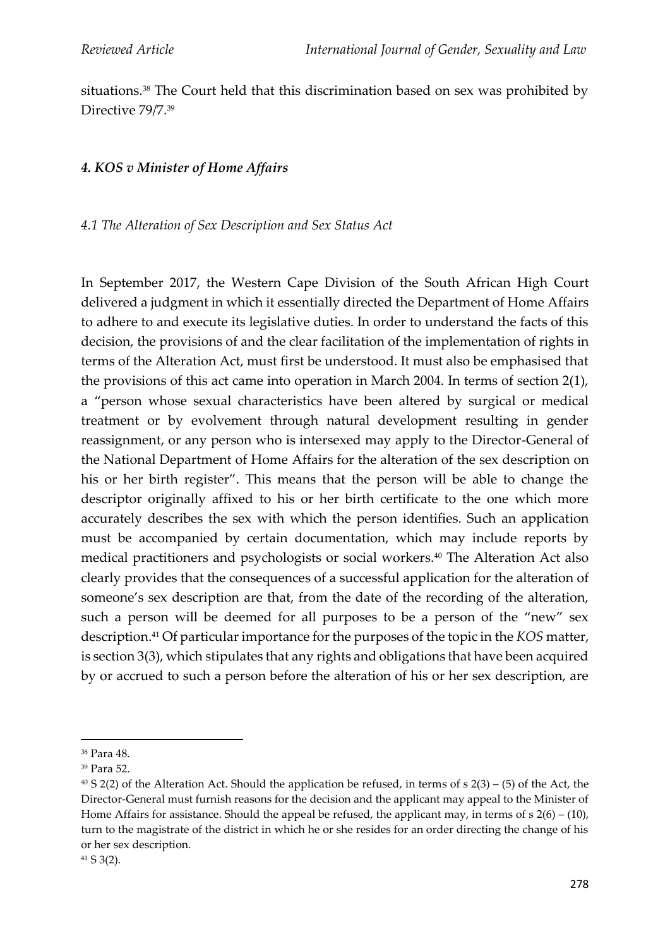situations.<sup>38</sup> The Court held that this discrimination based on sex was prohibited by Directive 79/7.<sup>39</sup>

#### *4. KOS v Minister of Home Affairs*

*4.1 The Alteration of Sex Description and Sex Status Act*

In September 2017, the Western Cape Division of the South African High Court delivered a judgment in which it essentially directed the Department of Home Affairs to adhere to and execute its legislative duties. In order to understand the facts of this decision, the provisions of and the clear facilitation of the implementation of rights in terms of the Alteration Act, must first be understood. It must also be emphasised that the provisions of this act came into operation in March 2004. In terms of section 2(1), a "person whose sexual characteristics have been altered by surgical or medical treatment or by evolvement through natural development resulting in gender reassignment, or any person who is intersexed may apply to the Director-General of the National Department of Home Affairs for the alteration of the sex description on his or her birth register". This means that the person will be able to change the descriptor originally affixed to his or her birth certificate to the one which more accurately describes the sex with which the person identifies. Such an application must be accompanied by certain documentation, which may include reports by medical practitioners and psychologists or social workers.<sup>40</sup> The Alteration Act also clearly provides that the consequences of a successful application for the alteration of someone's sex description are that, from the date of the recording of the alteration, such a person will be deemed for all purposes to be a person of the "new" sex description.<sup>41</sup> Of particular importance for the purposes of the topic in the *KOS* matter, is section 3(3), which stipulates that any rights and obligations that have been acquired by or accrued to such a person before the alteration of his or her sex description, are

<sup>38</sup> Para 48.

<sup>39</sup> Para 52.

 $40 S 2(2)$  of the Alteration Act. Should the application be refused, in terms of s  $2(3) - (5)$  of the Act, the Director-General must furnish reasons for the decision and the applicant may appeal to the Minister of Home Affairs for assistance. Should the appeal be refused, the applicant may, in terms of  $s$  2(6) – (10), turn to the magistrate of the district in which he or she resides for an order directing the change of his or her sex description.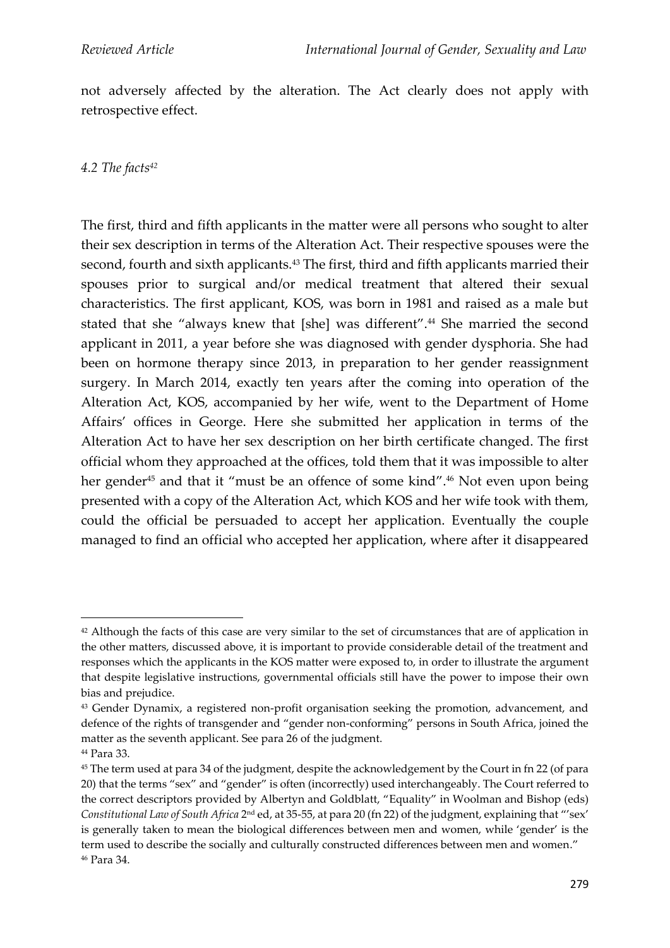not adversely affected by the alteration. The Act clearly does not apply with retrospective effect.

*4.2 The facts<sup>42</sup>*

The first, third and fifth applicants in the matter were all persons who sought to alter their sex description in terms of the Alteration Act. Their respective spouses were the second, fourth and sixth applicants.<sup>43</sup> The first, third and fifth applicants married their spouses prior to surgical and/or medical treatment that altered their sexual characteristics. The first applicant, KOS, was born in 1981 and raised as a male but stated that she "always knew that [she] was different".<sup>44</sup> She married the second applicant in 2011, a year before she was diagnosed with gender dysphoria. She had been on hormone therapy since 2013, in preparation to her gender reassignment surgery. In March 2014, exactly ten years after the coming into operation of the Alteration Act, KOS, accompanied by her wife, went to the Department of Home Affairs' offices in George. Here she submitted her application in terms of the Alteration Act to have her sex description on her birth certificate changed. The first official whom they approached at the offices, told them that it was impossible to alter her gender<sup>45</sup> and that it "must be an offence of some kind".<sup>46</sup> Not even upon being presented with a copy of the Alteration Act, which KOS and her wife took with them, could the official be persuaded to accept her application. Eventually the couple managed to find an official who accepted her application, where after it disappeared

<sup>&</sup>lt;sup>42</sup> Although the facts of this case are very similar to the set of circumstances that are of application in the other matters, discussed above, it is important to provide considerable detail of the treatment and responses which the applicants in the KOS matter were exposed to, in order to illustrate the argument that despite legislative instructions, governmental officials still have the power to impose their own bias and prejudice.

<sup>&</sup>lt;sup>43</sup> Gender Dynamix, a registered non-profit organisation seeking the promotion, advancement, and defence of the rights of transgender and "gender non-conforming" persons in South Africa, joined the matter as the seventh applicant. See para 26 of the judgment.

<sup>44</sup> Para 33.

<sup>45</sup> The term used at para 34 of the judgment, despite the acknowledgement by the Court in fn 22 (of para 20) that the terms "sex" and "gender" is often (incorrectly) used interchangeably. The Court referred to the correct descriptors provided by Albertyn and Goldblatt, "Equality" in Woolman and Bishop (eds) Constitutional Law of South Africa 2<sup>nd</sup> ed, at 35-55, at para 20 (fn 22) of the judgment, explaining that "'sex' is generally taken to mean the biological differences between men and women, while 'gender' is the term used to describe the socially and culturally constructed differences between men and women." <sup>46</sup> Para 34.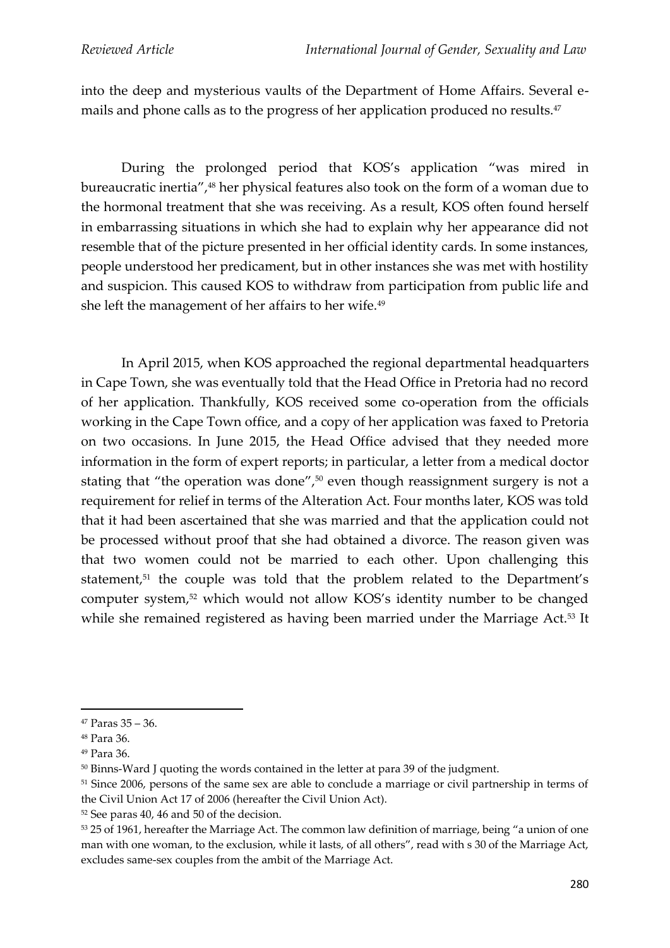into the deep and mysterious vaults of the Department of Home Affairs. Several emails and phone calls as to the progress of her application produced no results. 47

During the prolonged period that KOS's application "was mired in bureaucratic inertia",<sup>48</sup> her physical features also took on the form of a woman due to the hormonal treatment that she was receiving. As a result, KOS often found herself in embarrassing situations in which she had to explain why her appearance did not resemble that of the picture presented in her official identity cards. In some instances, people understood her predicament, but in other instances she was met with hostility and suspicion. This caused KOS to withdraw from participation from public life and she left the management of her affairs to her wife.<sup>49</sup>

In April 2015, when KOS approached the regional departmental headquarters in Cape Town, she was eventually told that the Head Office in Pretoria had no record of her application. Thankfully, KOS received some co-operation from the officials working in the Cape Town office, and a copy of her application was faxed to Pretoria on two occasions. In June 2015, the Head Office advised that they needed more information in the form of expert reports; in particular, a letter from a medical doctor stating that "the operation was done",<sup>50</sup> even though reassignment surgery is not a requirement for relief in terms of the Alteration Act. Four months later, KOS was told that it had been ascertained that she was married and that the application could not be processed without proof that she had obtained a divorce. The reason given was that two women could not be married to each other. Upon challenging this statement,<sup>51</sup> the couple was told that the problem related to the Department's computer system,<sup>52</sup> which would not allow KOS's identity number to be changed while she remained registered as having been married under the Marriage Act.<sup>53</sup> It

<sup>47</sup> Paras 35 – 36.

<sup>48</sup> Para 36.

<sup>49</sup> Para 36.

<sup>50</sup> Binns-Ward J quoting the words contained in the letter at para 39 of the judgment.

<sup>51</sup> Since 2006, persons of the same sex are able to conclude a marriage or civil partnership in terms of the Civil Union Act 17 of 2006 (hereafter the Civil Union Act).

<sup>52</sup> See paras 40, 46 and 50 of the decision.

<sup>53</sup> 25 of 1961, hereafter the Marriage Act. The common law definition of marriage, being "a union of one man with one woman, to the exclusion, while it lasts, of all others", read with s 30 of the Marriage Act, excludes same-sex couples from the ambit of the Marriage Act.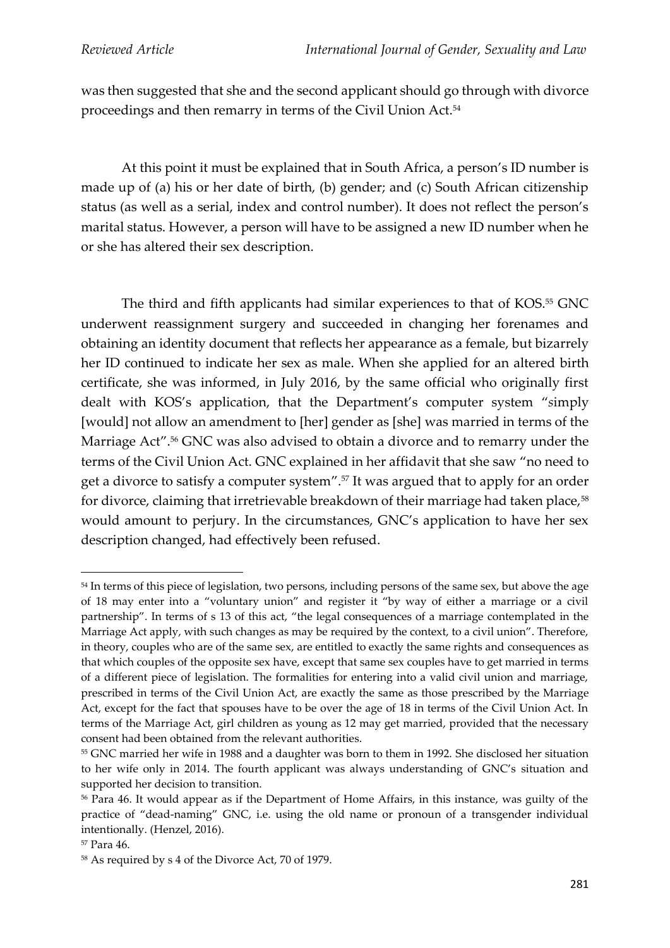was then suggested that she and the second applicant should go through with divorce proceedings and then remarry in terms of the Civil Union Act.<sup>54</sup>

At this point it must be explained that in South Africa, a person's ID number is made up of (a) his or her date of birth, (b) gender; and (c) South African citizenship status (as well as a serial, index and control number). It does not reflect the person's marital status. However, a person will have to be assigned a new ID number when he or she has altered their sex description.

The third and fifth applicants had similar experiences to that of KOS.<sup>55</sup> GNC underwent reassignment surgery and succeeded in changing her forenames and obtaining an identity document that reflects her appearance as a female, but bizarrely her ID continued to indicate her sex as male. When she applied for an altered birth certificate, she was informed, in July 2016, by the same official who originally first dealt with KOS's application, that the Department's computer system "*s*imply [would] not allow an amendment to [her] gender as [she] was married in terms of the Marriage Act".<sup>56</sup> GNC was also advised to obtain a divorce and to remarry under the terms of the Civil Union Act. GNC explained in her affidavit that she saw "no need to get a divorce to satisfy a computer system".<sup>57</sup> It was argued that to apply for an order for divorce, claiming that irretrievable breakdown of their marriage had taken place,<sup>58</sup> would amount to perjury. In the circumstances, GNC's application to have her sex description changed, had effectively been refused.

<sup>&</sup>lt;sup>54</sup> In terms of this piece of legislation, two persons, including persons of the same sex, but above the age of 18 may enter into a "voluntary union" and register it "by way of either a marriage or a civil partnership". In terms of s 13 of this act, "the legal consequences of a marriage contemplated in the Marriage Act apply, with such changes as may be required by the context, to a civil union". Therefore, in theory, couples who are of the same sex, are entitled to exactly the same rights and consequences as that which couples of the opposite sex have, except that same sex couples have to get married in terms of a different piece of legislation. The formalities for entering into a valid civil union and marriage, prescribed in terms of the Civil Union Act, are exactly the same as those prescribed by the Marriage Act, except for the fact that spouses have to be over the age of 18 in terms of the Civil Union Act. In terms of the Marriage Act, girl children as young as 12 may get married, provided that the necessary consent had been obtained from the relevant authorities.

<sup>55</sup> GNC married her wife in 1988 and a daughter was born to them in 1992. She disclosed her situation to her wife only in 2014. The fourth applicant was always understanding of GNC's situation and supported her decision to transition.

<sup>56</sup> Para 46. It would appear as if the Department of Home Affairs, in this instance, was guilty of the practice of "dead-naming" GNC, i.e. using the old name or pronoun of a transgender individual intentionally. (Henzel, 2016).

<sup>57</sup> Para 46.

<sup>58</sup> As required by s 4 of the Divorce Act, 70 of 1979.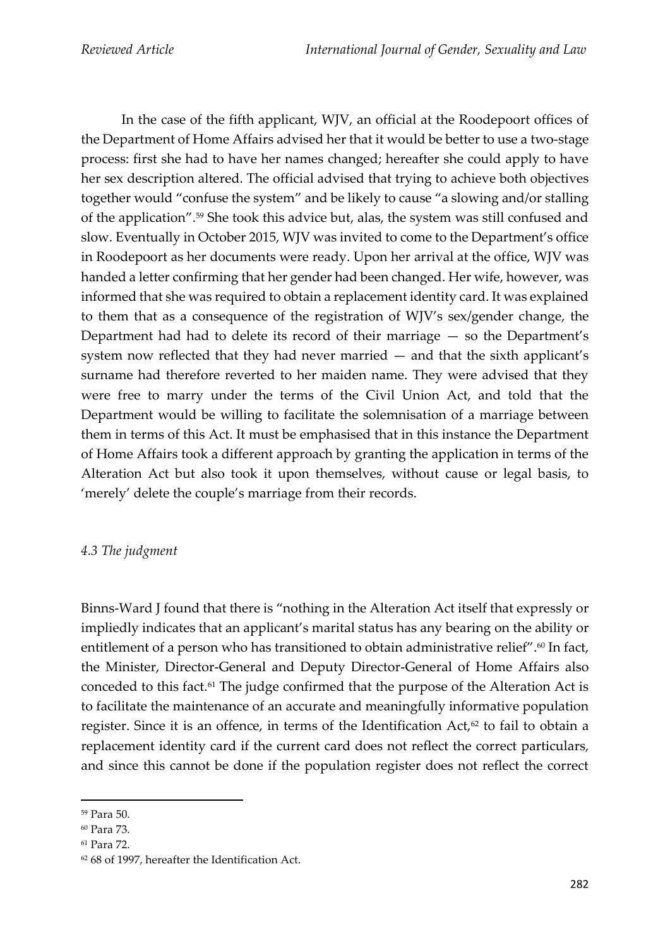In the case of the fifth applicant, WJV, an official at the Roodepoort offices of the Department of Home Affairs advised her that it would be better to use a two-stage process: first she had to have her names changed; hereafter she could apply to have her sex description altered. The official advised that trying to achieve both objectives together would "confuse the system" and be likely to cause "a slowing and/or stalling of the application". <sup>59</sup> She took this advice but, alas, the system was still confused and slow. Eventually in October 2015, WJV was invited to come to the Department's office in Roodepoort as her documents were ready. Upon her arrival at the office, WJV was handed a letter confirming that her gender had been changed. Her wife, however, was informed that she was required to obtain a replacement identity card. It was explained to them that as a consequence of the registration of WJV's sex/gender change, the Department had had to delete its record of their marriage — so the Department's system now reflected that they had never married — and that the sixth applicant's surname had therefore reverted to her maiden name. They were advised that they were free to marry under the terms of the Civil Union Act, and told that the Department would be willing to facilitate the solemnisation of a marriage between them in terms of this Act. It must be emphasised that in this instance the Department of Home Affairs took a different approach by granting the application in terms of the Alteration Act but also took it upon themselves, without cause or legal basis, to 'merely' delete the couple's marriage from their records.

### *4.3 The judgment*

Binns-Ward J found that there is "nothing in the Alteration Act itself that expressly or impliedly indicates that an applicant's marital status has any bearing on the ability or entitlement of a person who has transitioned to obtain administrative relief".<sup>60</sup> In fact, the Minister, Director-General and Deputy Director-General of Home Affairs also conceded to this fact.<sup>61</sup> The judge confirmed that the purpose of the Alteration Act is to facilitate the maintenance of an accurate and meaningfully informative population register. Since it is an offence, in terms of the Identification  $Act,62$  to fail to obtain a replacement identity card if the current card does not reflect the correct particulars, and since this cannot be done if the population register does not reflect the correct

<sup>59</sup> Para 50.

<sup>60</sup> Para 73.

<sup>61</sup> Para 72.

<sup>62</sup> 68 of 1997, hereafter the Identification Act.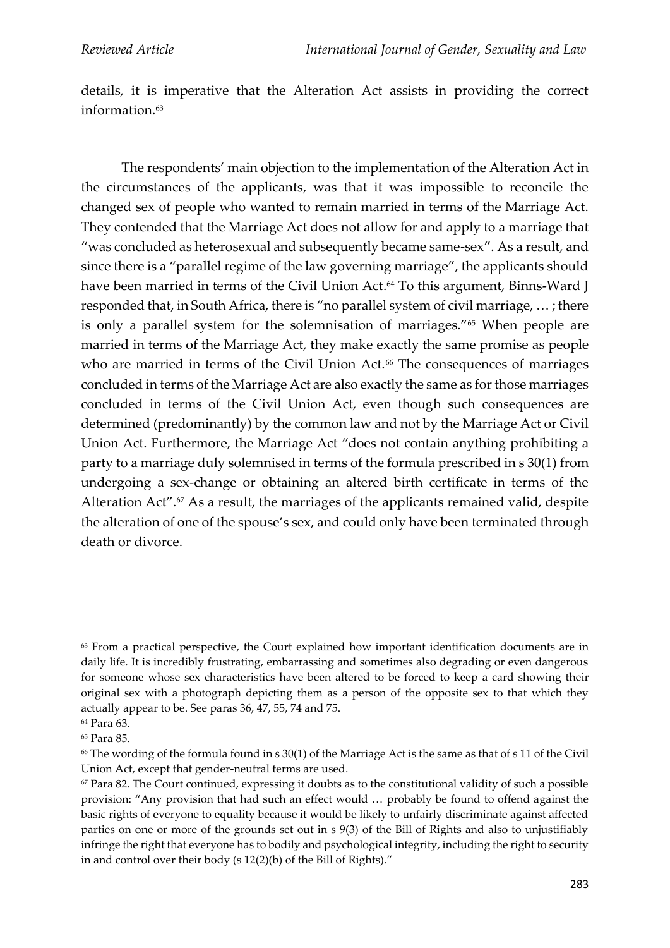details, it is imperative that the Alteration Act assists in providing the correct information.<sup>63</sup>

The respondents' main objection to the implementation of the Alteration Act in the circumstances of the applicants, was that it was impossible to reconcile the changed sex of people who wanted to remain married in terms of the Marriage Act. They contended that the Marriage Act does not allow for and apply to a marriage that "was concluded as heterosexual and subsequently became same-sex". As a result, and since there is a "parallel regime of the law governing marriage", the applicants should have been married in terms of the Civil Union Act. <sup>64</sup> To this argument, Binns-Ward J responded that, in South Africa, there is "no parallel system of civil marriage, … ; there is only a parallel system for the solemnisation of marriages."<sup>65</sup> When people are married in terms of the Marriage Act, they make exactly the same promise as people who are married in terms of the Civil Union Act.<sup>66</sup> The consequences of marriages concluded in terms of the Marriage Act are also exactly the same as for those marriages concluded in terms of the Civil Union Act, even though such consequences are determined (predominantly) by the common law and not by the Marriage Act or Civil Union Act. Furthermore, the Marriage Act "does not contain anything prohibiting a party to a marriage duly solemnised in terms of the formula prescribed in s 30(1) from undergoing a sex-change or obtaining an altered birth certificate in terms of the Alteration Act".<sup>67</sup> As a result, the marriages of the applicants remained valid, despite the alteration of one of the spouse's sex, and could only have been terminated through death or divorce.

<sup>&</sup>lt;sup>63</sup> From a practical perspective, the Court explained how important identification documents are in daily life. It is incredibly frustrating, embarrassing and sometimes also degrading or even dangerous for someone whose sex characteristics have been altered to be forced to keep a card showing their original sex with a photograph depicting them as a person of the opposite sex to that which they actually appear to be. See paras 36, 47, 55, 74 and 75.

<sup>64</sup> Para 63. <sup>65</sup> Para 85.

<sup>66</sup> The wording of the formula found in s 30(1) of the Marriage Act is the same as that of s 11 of the Civil Union Act, except that gender-neutral terms are used.

 $67$  Para 82. The Court continued, expressing it doubts as to the constitutional validity of such a possible provision: "Any provision that had such an effect would … probably be found to offend against the basic rights of everyone to equality because it would be likely to unfairly discriminate against affected parties on one or more of the grounds set out in s 9(3) of the Bill of Rights and also to unjustifiably infringe the right that everyone has to bodily and psychological integrity, including the right to security in and control over their body (s 12(2)(b) of the Bill of Rights)."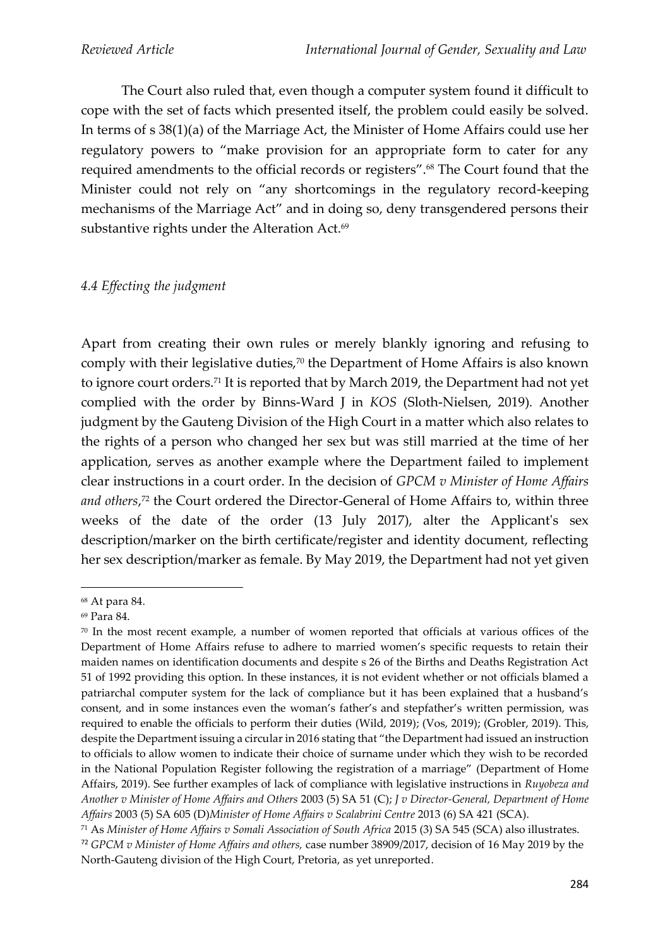The Court also ruled that, even though a computer system found it difficult to cope with the set of facts which presented itself, the problem could easily be solved. In terms of s 38(1)(a) of the Marriage Act, the Minister of Home Affairs could use her regulatory powers to "make provision for an appropriate form to cater for any required amendments to the official records or registers".<sup>68</sup> The Court found that the Minister could not rely on "any shortcomings in the regulatory record-keeping mechanisms of the Marriage Act" and in doing so, deny transgendered persons their substantive rights under the Alteration Act.<sup>69</sup>

#### *4.4 Effecting the judgment*

Apart from creating their own rules or merely blankly ignoring and refusing to comply with their legislative duties,<sup>70</sup> the Department of Home Affairs is also known to ignore court orders.<sup>71</sup> It is reported that by March 2019, the Department had not yet complied with the order by Binns-Ward J in *KOS* (Sloth-Nielsen, 2019)*.* Another judgment by the Gauteng Division of the High Court in a matter which also relates to the rights of a person who changed her sex but was still married at the time of her application, serves as another example where the Department failed to implement clear instructions in a court order. In the decision of *GPCM v Minister of Home Affairs and others*, <sup>72</sup> the Court ordered the Director-General of Home Affairs to, within three weeks of the date of the order (13 July 2017), alter the Applicant's sex description/marker on the birth certificate/register and identity document, reflecting her sex description/marker as female. By May 2019, the Department had not yet given

<sup>68</sup> At para 84.

<sup>69</sup> Para 84.

 $70$  In the most recent example, a number of women reported that officials at various offices of the Department of Home Affairs refuse to adhere to married women's specific requests to retain their maiden names on identification documents and despite s 26 of the Births and Deaths Registration Act 51 of 1992 providing this option. In these instances, it is not evident whether or not officials blamed a patriarchal computer system for the lack of compliance but it has been explained that a husband's consent, and in some instances even the woman's father's and stepfather's written permission, was required to enable the officials to perform their duties (Wild, 2019); (Vos, 2019); (Grobler, 2019). This, despite the Department issuing a circular in 2016 stating that "the Department had issued an instruction to officials to allow women to indicate their choice of surname under which they wish to be recorded in the National Population Register following the registration of a marriage" (Department of Home Affairs, 2019). See further examples of lack of compliance with legislative instructions in *Ruyobeza and Another v Minister of Home Affairs and Others* 2003 (5) SA 51 (C); *J v Director-General, Department of Home Affairs* 2003 (5) SA 605 (D)*Minister of Home Affairs v Scalabrini Centre* 2013 (6) SA 421 (SCA).

<sup>71</sup> As *Minister of Home Affairs v Somali Association of South Africa* 2015 (3) SA 545 (SCA) also illustrates.

<sup>72</sup> *GPCM v Minister of Home Affairs and others,* case number 38909/2017, decision of 16 May 2019 by the North-Gauteng division of the High Court, Pretoria, as yet unreported.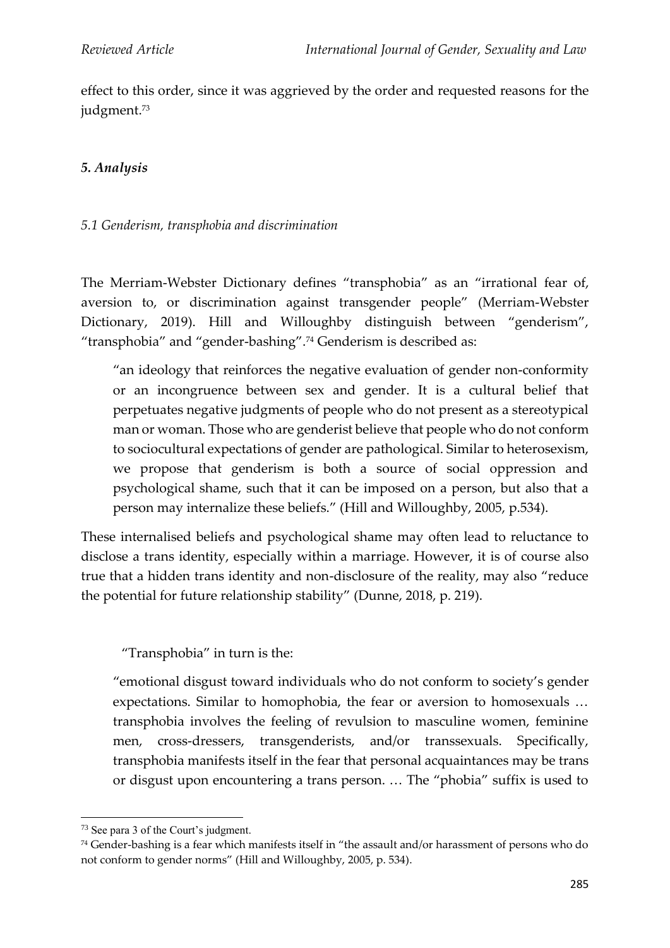effect to this order, since it was aggrieved by the order and requested reasons for the judgment.<sup>73</sup>

## *5. Analysis*

#### *5.1 Genderism, transphobia and discrimination*

The Merriam-Webster Dictionary defines "transphobia" as an "irrational fear of, aversion to, or discrimination against transgender people" (Merriam-Webster Dictionary, 2019). Hill and Willoughby distinguish between "genderism", "transphobia" and "gender-bashing".<sup>74</sup> Genderism is described as:

"an ideology that reinforces the negative evaluation of gender non-conformity or an incongruence between sex and gender. It is a cultural belief that perpetuates negative judgments of people who do not present as a stereotypical man or woman. Those who are genderist believe that people who do not conform to sociocultural expectations of gender are pathological. Similar to heterosexism, we propose that genderism is both a source of social oppression and psychological shame, such that it can be imposed on a person, but also that a person may internalize these beliefs." (Hill and Willoughby, 2005, p.534).

These internalised beliefs and psychological shame may often lead to reluctance to disclose a trans identity, especially within a marriage. However, it is of course also true that a hidden trans identity and non-disclosure of the reality, may also "reduce the potential for future relationship stability" (Dunne, 2018, p. 219).

"Transphobia" in turn is the:

"emotional disgust toward individuals who do not conform to society's gender expectations. Similar to homophobia, the fear or aversion to homosexuals … transphobia involves the feeling of revulsion to masculine women, feminine men, cross-dressers, transgenderists, and/or transsexuals. Specifically, transphobia manifests itself in the fear that personal acquaintances may be trans or disgust upon encountering a trans person. … The "phobia" suffix is used to

<sup>73</sup> See para 3 of the Court's judgment.

<sup>74</sup> Gender-bashing is a fear which manifests itself in "the assault and/or harassment of persons who do not conform to gender norms" (Hill and Willoughby, 2005, p. 534).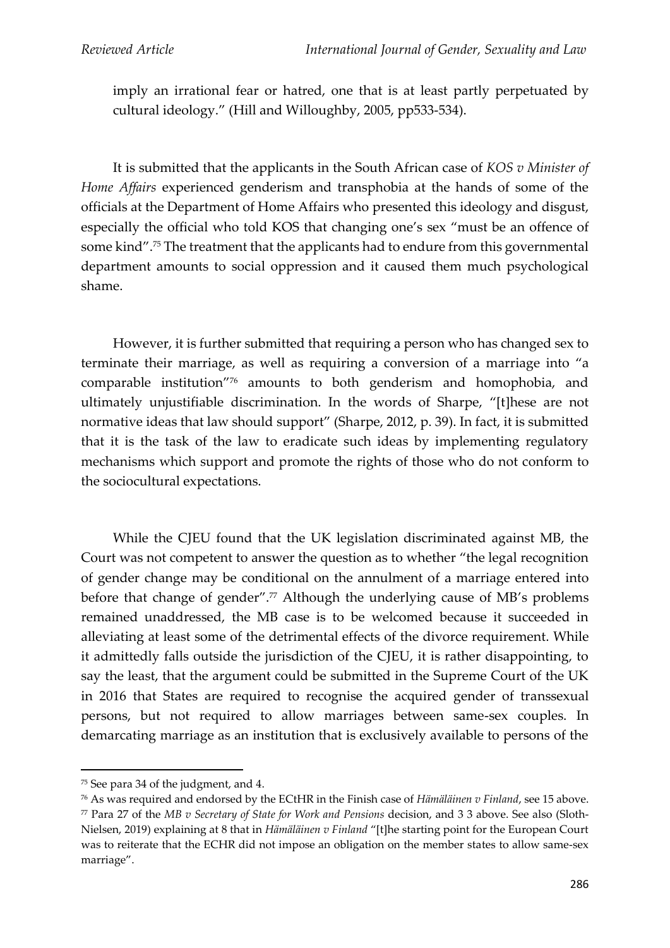imply an irrational fear or hatred, one that is at least partly perpetuated by cultural ideology." (Hill and Willoughby, 2005, pp533-534).

It is submitted that the applicants in the South African case of *KOS v Minister of Home Affairs* experienced genderism and transphobia at the hands of some of the officials at the Department of Home Affairs who presented this ideology and disgust, especially the official who told KOS that changing one's sex "must be an offence of some kind".<sup>75</sup> The treatment that the applicants had to endure from this governmental department amounts to social oppression and it caused them much psychological shame.

However, it is further submitted that requiring a person who has changed sex to terminate their marriage, as well as requiring a conversion of a marriage into "a comparable institution"<sup>76</sup> amounts to both genderism and homophobia, and ultimately unjustifiable discrimination. In the words of Sharpe, "[t]hese are not normative ideas that law should support" (Sharpe, 2012, p. 39). In fact, it is submitted that it is the task of the law to eradicate such ideas by implementing regulatory mechanisms which support and promote the rights of those who do not conform to the sociocultural expectations.

While the CJEU found that the UK legislation discriminated against MB, the Court was not competent to answer the question as to whether "the legal recognition of gender change may be conditional on the annulment of a marriage entered into before that change of gender".<sup>77</sup> Although the underlying cause of MB's problems remained unaddressed, the MB case is to be welcomed because it succeeded in alleviating at least some of the detrimental effects of the divorce requirement. While it admittedly falls outside the jurisdiction of the CJEU, it is rather disappointing, to say the least, that the argument could be submitted in the Supreme Court of the UK in 2016 that States are required to recognise the acquired gender of transsexual persons, but not required to allow marriages between same-sex couples. In demarcating marriage as an institution that is exclusively available to persons of the

<sup>75</sup> See para 34 of the judgment, and 4.

<sup>76</sup> As was required and endorsed by the ECtHR in the Finish case of *Hämäläinen v Finland*, see 15 above. <sup>77</sup> Para 27 of the *MB v Secretary of State for Work and Pensions* decision, and 3 3 above. See also (Sloth-Nielsen, 2019) explaining at 8 that in *Hämäläinen v Finland* "[t]he starting point for the European Court was to reiterate that the ECHR did not impose an obligation on the member states to allow same-sex marriage".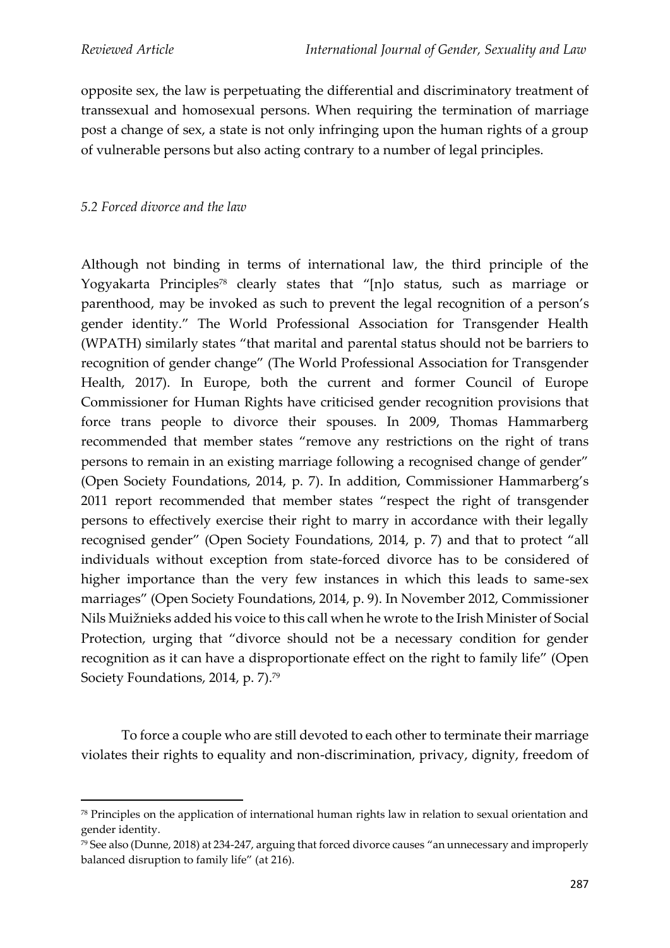opposite sex, the law is perpetuating the differential and discriminatory treatment of transsexual and homosexual persons. When requiring the termination of marriage post a change of sex, a state is not only infringing upon the human rights of a group of vulnerable persons but also acting contrary to a number of legal principles.

#### *5.2 Forced divorce and the law*

Although not binding in terms of international law, the third principle of the Yogyakarta Principles<sup>78</sup> clearly states that "[n]o status, such as marriage or parenthood, may be invoked as such to prevent the legal recognition of a person's gender identity." The World Professional Association for Transgender Health (WPATH) similarly states "that marital and parental status should not be barriers to recognition of gender change" (The World Professional Association for Transgender Health, 2017). In Europe, both the current and former Council of Europe Commissioner for Human Rights have criticised gender recognition provisions that force trans people to divorce their spouses. In 2009, Thomas Hammarberg recommended that member states "remove any restrictions on the right of trans persons to remain in an existing marriage following a recognised change of gender" (Open Society Foundations, 2014, p. 7). In addition, Commissioner Hammarberg's 2011 report recommended that member states "respect the right of transgender persons to effectively exercise their right to marry in accordance with their legally recognised gender" (Open Society Foundations, 2014, p. 7) and that to protect "all individuals without exception from state-forced divorce has to be considered of higher importance than the very few instances in which this leads to same-sex marriages" (Open Society Foundations, 2014, p. 9). In November 2012, Commissioner Nils Muižnieks added his voice to this call when he wrote to the Irish Minister of Social Protection, urging that "divorce should not be a necessary condition for gender recognition as it can have a disproportionate effect on the right to family life" (Open Society Foundations, 2014, p. 7). 79

To force a couple who are still devoted to each other to terminate their marriage violates their rights to equality and non-discrimination, privacy, dignity, freedom of

<sup>78</sup> Principles on the application of international human rights law in relation to sexual orientation and gender identity.

<sup>79</sup> See also (Dunne, 2018) at 234-247, arguing that forced divorce causes "an unnecessary and improperly balanced disruption to family life" (at 216).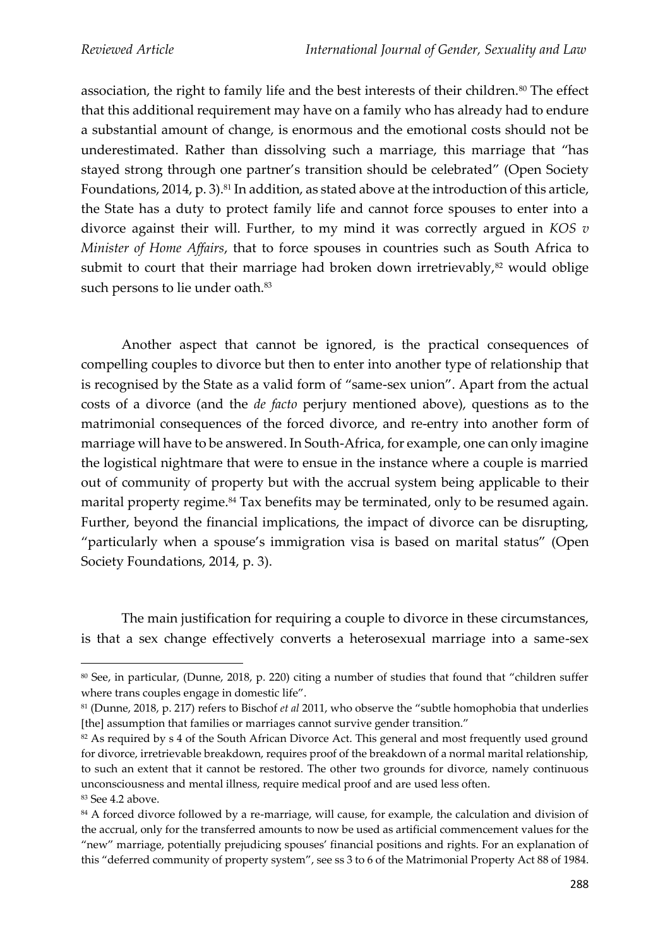association, the right to family life and the best interests of their children.<sup>80</sup> The effect that this additional requirement may have on a family who has already had to endure a substantial amount of change, is enormous and the emotional costs should not be underestimated. Rather than dissolving such a marriage, this marriage that "has stayed strong through one partner's transition should be celebrated" (Open Society Foundations, 2014, p. 3).<sup>81</sup> In addition, as stated above at the introduction of this article, the State has a duty to protect family life and cannot force spouses to enter into a divorce against their will. Further, to my mind it was correctly argued in *KOS v Minister of Home Affairs*, that to force spouses in countries such as South Africa to submit to court that their marriage had broken down irretrievably, $82$  would oblige such persons to lie under oath.<sup>83</sup>

Another aspect that cannot be ignored, is the practical consequences of compelling couples to divorce but then to enter into another type of relationship that is recognised by the State as a valid form of "same-sex union". Apart from the actual costs of a divorce (and the *de facto* perjury mentioned above), questions as to the matrimonial consequences of the forced divorce, and re-entry into another form of marriage will have to be answered. In South-Africa, for example, one can only imagine the logistical nightmare that were to ensue in the instance where a couple is married out of community of property but with the accrual system being applicable to their marital property regime.<sup>84</sup> Tax benefits may be terminated, only to be resumed again. Further, beyond the financial implications, the impact of divorce can be disrupting, "particularly when a spouse's immigration visa is based on marital status" (Open Society Foundations, 2014, p. 3).

The main justification for requiring a couple to divorce in these circumstances, is that a sex change effectively converts a heterosexual marriage into a same-sex

<sup>80</sup> See, in particular, (Dunne, 2018, p. 220) citing a number of studies that found that "children suffer where trans couples engage in domestic life".

<sup>81</sup> (Dunne, 2018, p. 217) refers to Bischof *et al* 2011, who observe the "subtle homophobia that underlies [the] assumption that families or marriages cannot survive gender transition."

<sup>&</sup>lt;sup>82</sup> As required by s 4 of the South African Divorce Act. This general and most frequently used ground for divorce, irretrievable breakdown, requires proof of the breakdown of a normal marital relationship, to such an extent that it cannot be restored. The other two grounds for divorce, namely continuous unconsciousness and mental illness, require medical proof and are used less often. <sup>83</sup> See 4.2 above.

<sup>&</sup>lt;sup>84</sup> A forced divorce followed by a re-marriage, will cause, for example, the calculation and division of the accrual, only for the transferred amounts to now be used as artificial commencement values for the "new" marriage, potentially prejudicing spouses' financial positions and rights. For an explanation of this "deferred community of property system", see ss 3 to 6 of the Matrimonial Property Act 88 of 1984.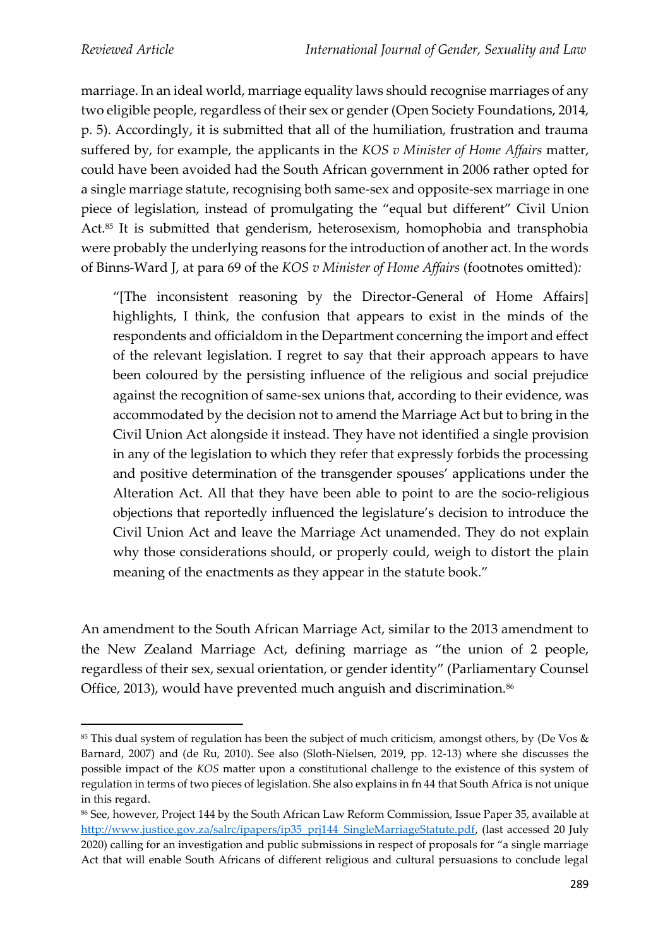marriage. In an ideal world, marriage equality laws should recognise marriages of any two eligible people, regardless of their sex or gender (Open Society Foundations, 2014, p. 5). Accordingly, it is submitted that all of the humiliation, frustration and trauma suffered by, for example, the applicants in the *KOS v Minister of Home Affairs* matter, could have been avoided had the South African government in 2006 rather opted for a single marriage statute, recognising both same-sex and opposite-sex marriage in one piece of legislation, instead of promulgating the "equal but different" Civil Union Act.<sup>85</sup> It is submitted that genderism, heterosexism, homophobia and transphobia were probably the underlying reasons for the introduction of another act. In the words of Binns-Ward J, at para 69 of the *KOS v Minister of Home Affairs* (footnotes omitted)*:*

"[The inconsistent reasoning by the Director-General of Home Affairs] highlights, I think, the confusion that appears to exist in the minds of the respondents and officialdom in the Department concerning the import and effect of the relevant legislation. I regret to say that their approach appears to have been coloured by the persisting influence of the religious and social prejudice against the recognition of same-sex unions that, according to their evidence, was accommodated by the decision not to amend the Marriage Act but to bring in the Civil Union Act alongside it instead. They have not identified a single provision in any of the legislation to which they refer that expressly forbids the processing and positive determination of the transgender spouses' applications under the Alteration Act. All that they have been able to point to are the socio-religious objections that reportedly influenced the legislature's decision to introduce the Civil Union Act and leave the Marriage Act unamended. They do not explain why those considerations should, or properly could, weigh to distort the plain meaning of the enactments as they appear in the statute book."

An amendment to the South African Marriage Act, similar to the 2013 amendment to the New Zealand Marriage Act, defining marriage as "the union of 2 people, regardless of their sex, sexual orientation, or gender identity" (Parliamentary Counsel Office, 2013), would have prevented much anguish and discrimination.<sup>86</sup>

<sup>85</sup> This dual system of regulation has been the subject of much criticism, amongst others, by (De Vos & Barnard, 2007) and (de Ru, 2010). See also (Sloth-Nielsen, 2019, pp. 12-13) where she discusses the possible impact of the *KOS* matter upon a constitutional challenge to the existence of this system of regulation in terms of two pieces of legislation. She also explains in fn 44 that South Africa is not unique in this regard.

<sup>86</sup> See, however, Project 144 by the South African Law Reform Commission, Issue Paper 35, available at [http://www.justice.gov.za/salrc/ipapers/ip35\\_prj144\\_SingleMarriageStatute.pdf,](about:blank) (last accessed 20 July 2020) calling for an investigation and public submissions in respect of proposals for "a single marriage Act that will enable South Africans of different religious and cultural persuasions to conclude legal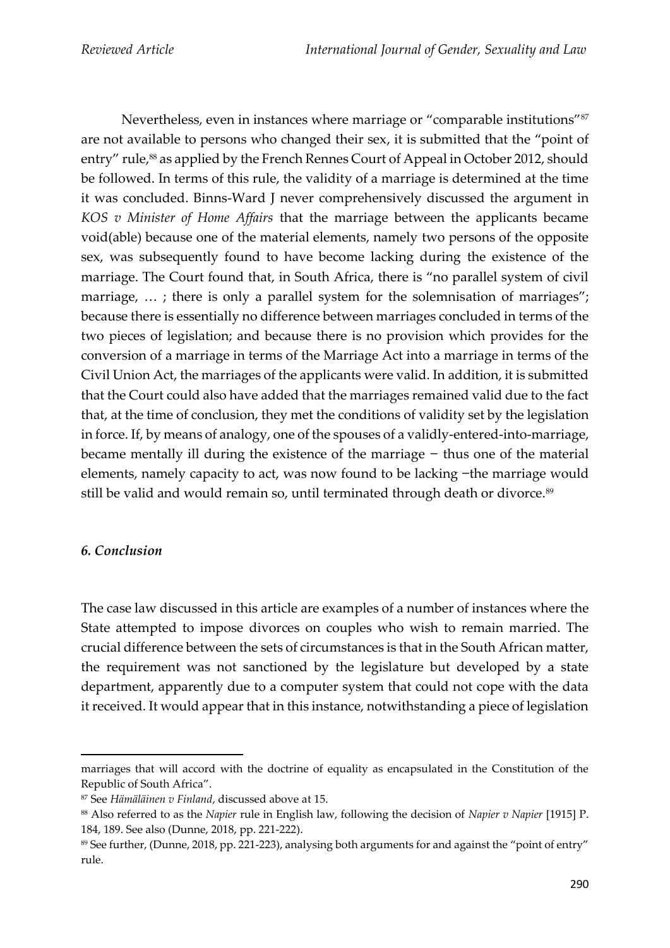Nevertheless, even in instances where marriage or "comparable institutions"<sup>87</sup> are not available to persons who changed their sex, it is submitted that the "point of entry" rule,<sup>88</sup> as applied by the French Rennes Court of Appeal in October 2012, should be followed. In terms of this rule, the validity of a marriage is determined at the time it was concluded. Binns-Ward J never comprehensively discussed the argument in *KOS v Minister of Home Affairs* that the marriage between the applicants became void(able) because one of the material elements, namely two persons of the opposite sex, was subsequently found to have become lacking during the existence of the marriage. The Court found that, in South Africa, there is "no parallel system of civil marriage, ...; there is only a parallel system for the solemnisation of marriages"; because there is essentially no difference between marriages concluded in terms of the two pieces of legislation; and because there is no provision which provides for the conversion of a marriage in terms of the Marriage Act into a marriage in terms of the Civil Union Act, the marriages of the applicants were valid. In addition, it is submitted that the Court could also have added that the marriages remained valid due to the fact that, at the time of conclusion, they met the conditions of validity set by the legislation in force. If, by means of analogy, one of the spouses of a validly-entered-into-marriage, became mentally ill during the existence of the marriage  $-$  thus one of the material elements, namely capacity to act, was now found to be lacking –the marriage would still be valid and would remain so, until terminated through death or divorce.<sup>89</sup>

### *6. Conclusion*

The case law discussed in this article are examples of a number of instances where the State attempted to impose divorces on couples who wish to remain married. The crucial difference between the sets of circumstances is that in the South African matter, the requirement was not sanctioned by the legislature but developed by a state department, apparently due to a computer system that could not cope with the data it received. It would appear that in this instance, notwithstanding a piece of legislation

marriages that will accord with the doctrine of equality as encapsulated in the Constitution of the Republic of South Africa".

<sup>87</sup> See *Hämäläinen v Finland*, discussed above at 15.

<sup>88</sup> Also referred to as the *Napier* rule in English law, following the decision of *Napier v Napier* [1915] P. 184, 189. See also (Dunne, 2018, pp. 221-222).

<sup>89</sup> See further, (Dunne, 2018, pp. 221-223), analysing both arguments for and against the "point of entry" rule.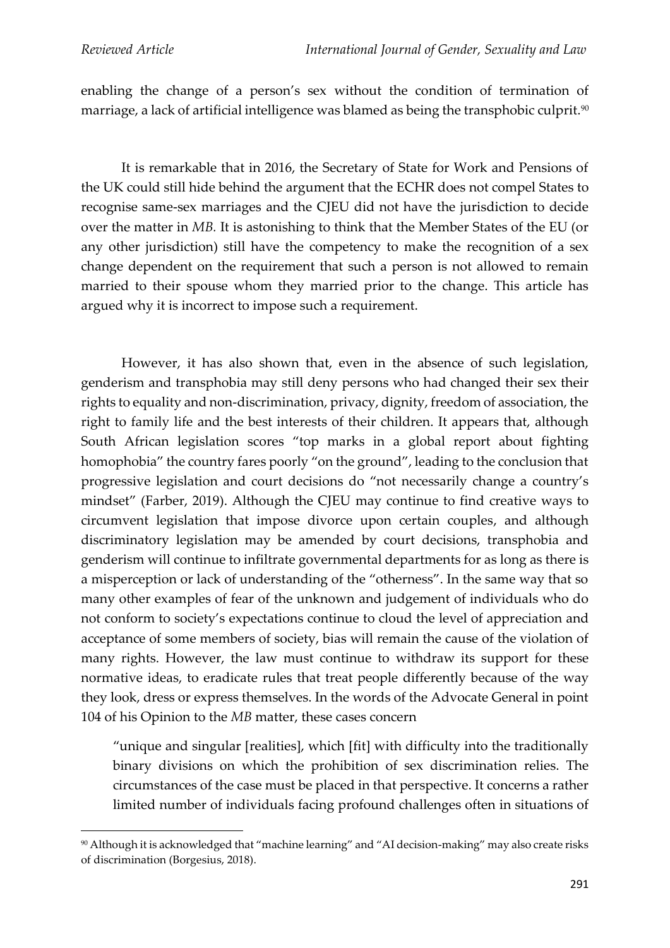enabling the change of a person's sex without the condition of termination of marriage, a lack of artificial intelligence was blamed as being the transphobic culprit.<sup>90</sup>

It is remarkable that in 2016, the Secretary of State for Work and Pensions of the UK could still hide behind the argument that the ECHR does not compel States to recognise same-sex marriages and the CJEU did not have the jurisdiction to decide over the matter in *MB.* It is astonishing to think that the Member States of the EU (or any other jurisdiction) still have the competency to make the recognition of a sex change dependent on the requirement that such a person is not allowed to remain married to their spouse whom they married prior to the change. This article has argued why it is incorrect to impose such a requirement.

However, it has also shown that, even in the absence of such legislation, genderism and transphobia may still deny persons who had changed their sex their rights to equality and non-discrimination, privacy, dignity, freedom of association, the right to family life and the best interests of their children. It appears that, although South African legislation scores "top marks in a global report about fighting homophobia" the country fares poorly "on the ground", leading to the conclusion that progressive legislation and court decisions do "not necessarily change a country's mindset" (Farber, 2019). Although the CJEU may continue to find creative ways to circumvent legislation that impose divorce upon certain couples, and although discriminatory legislation may be amended by court decisions, transphobia and genderism will continue to infiltrate governmental departments for as long as there is a misperception or lack of understanding of the "otherness". In the same way that so many other examples of fear of the unknown and judgement of individuals who do not conform to society's expectations continue to cloud the level of appreciation and acceptance of some members of society, bias will remain the cause of the violation of many rights. However, the law must continue to withdraw its support for these normative ideas, to eradicate rules that treat people differently because of the way they look, dress or express themselves. In the words of the Advocate General in point 104 of his Opinion to the *MB* matter, these cases concern

"unique and singular [realities], which [fit] with difficulty into the traditionally binary divisions on which the prohibition of sex discrimination relies. The circumstances of the case must be placed in that perspective. It concerns a rather limited number of individuals facing profound challenges often in situations of

<sup>90</sup> Although it is acknowledged that "machine learning" and "AI decision-making" may also create risks of discrimination (Borgesius, 2018).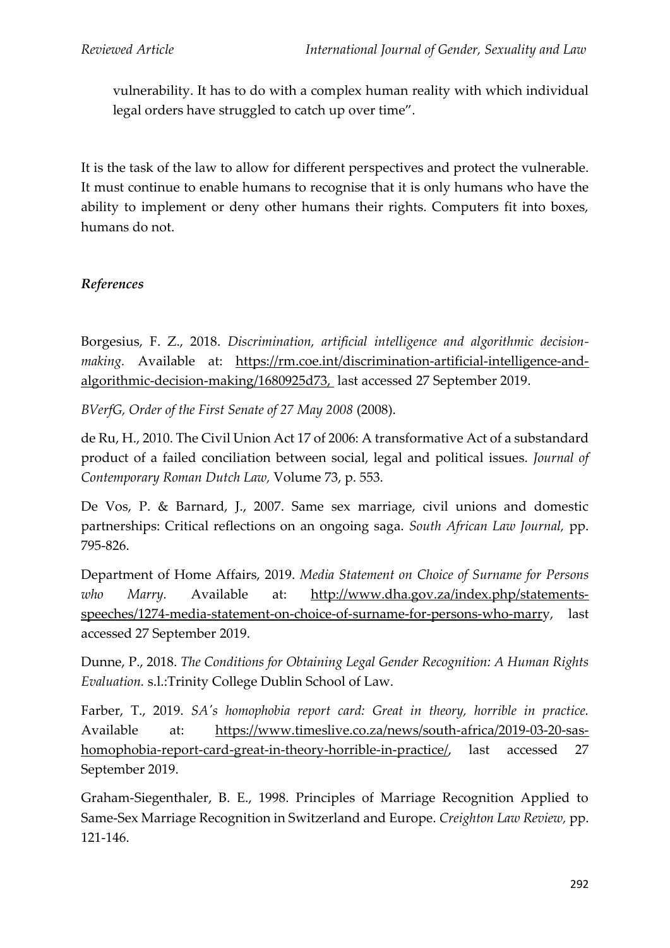vulnerability. It has to do with a complex human reality with which individual legal orders have struggled to catch up over time".

It is the task of the law to allow for different perspectives and protect the vulnerable. It must continue to enable humans to recognise that it is only humans who have the ability to implement or deny other humans their rights. Computers fit into boxes, humans do not.

## *References*

Borgesius, F. Z., 2018. *Discrimination, artificial intelligence and algorithmic decisionmaking.* Available at: https://rm.coe.int/discrimination-artificial-intelligence-andalgorithmic-decision-making/1680925d73, last accessed 27 September 2019.

*BVerfG, Order of the First Senate of 27 May 2008* (2008).

de Ru, H., 2010. The Civil Union Act 17 of 2006: A transformative Act of a substandard product of a failed conciliation between social, legal and political issues. *Journal of Contemporary Roman Dutch Law,* Volume 73, p. 553.

De Vos, P. & Barnard, J., 2007. Same sex marriage, civil unions and domestic partnerships: Critical reflections on an ongoing saga. *South African Law Journal,* pp. 795-826.

Department of Home Affairs, 2019. *Media Statement on Choice of Surname for Persons who Marry.* Available at: http://www.dha.gov.za/index.php/statementsspeeches/1274-media-statement-on-choice-of-surname-for-persons-who-marry, last accessed 27 September 2019.

Dunne, P., 2018. *The Conditions for Obtaining Legal Gender Recognition: A Human Rights Evaluation.* s.l.:Trinity College Dublin School of Law.

Farber, T., 2019. *SA's homophobia report card: Great in theory, horrible in practice.*  Available at: https://www.timeslive.co.za/news/south-africa/2019-03-20-sashomophobia-report-card-great-in-theory-horrible-in-practice/, last accessed 27 September 2019.

Graham-Siegenthaler, B. E., 1998. Principles of Marriage Recognition Applied to Same-Sex Marriage Recognition in Switzerland and Europe. *Creighton Law Review,* pp. 121-146.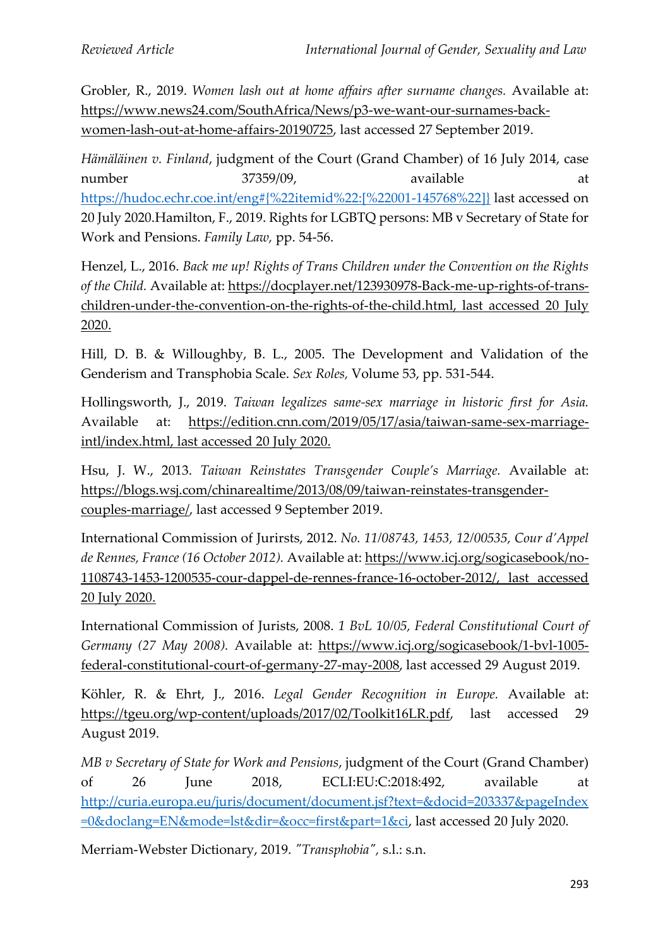Grobler, R., 2019. *Women lash out at home affairs after surname changes.* Available at: https://www.news24.com/SouthAfrica/News/p3-we-want-our-surnames-backwomen-lash-out-at-home-affairs-20190725, last accessed 27 September 2019.

*Hämäläinen v. Finland*, judgment of the Court (Grand Chamber) of 16 July 2014, case number 37359/09, available at https://hudoc.echr.coe.int/eng#{%22itemid%22:[%22001-145768%22]} last accessed on 20 July 2020.Hamilton, F., 2019. Rights for LGBTQ persons: MB v Secretary of State for Work and Pensions. *Family Law,* pp. 54-56.

Henzel, L., 2016. *Back me up! Rights of Trans Children under the Convention on the Rights of the Child.* Available at: https://docplayer.net/123930978-Back-me-up-rights-of-transchildren-under-the-convention-on-the-rights-of-the-child.html, last accessed 20 July 2020.

Hill, D. B. & Willoughby, B. L., 2005. The Development and Validation of the Genderism and Transphobia Scale. *Sex Roles,* Volume 53, pp. 531-544.

Hollingsworth, J., 2019. *Taiwan legalizes same-sex marriage in historic first for Asia.*  Available at: https://edition.cnn.com/2019/05/17/asia/taiwan-same-sex-marriageintl/index.html, last accessed 20 July 2020.

Hsu, J. W., 2013. *Taiwan Reinstates Transgender Couple's Marriage.* Available at: https://blogs.wsj.com/chinarealtime/2013/08/09/taiwan-reinstates-transgendercouples-marriage/, last accessed 9 September 2019.

International Commission of Jurirsts, 2012. *No. 11/08743, 1453, 12/00535, Cour d'Appel de Rennes, France (16 October 2012).* Available at: https://www.icj.org/sogicasebook/no-1108743-1453-1200535-cour-dappel-de-rennes-france-16-october-2012/, last accessed 20 July 2020.

International Commission of Jurists, 2008. *1 BvL 10/05, Federal Constitutional Court of Germany (27 May 2008).* Available at: https://www.icj.org/sogicasebook/1-bvl-1005 federal-constitutional-court-of-germany-27-may-2008, last accessed 29 August 2019.

Köhler, R. & Ehrt, J., 2016. *Legal Gender Recognition in Europe.* Available at: https://tgeu.org/wp-content/uploads/2017/02/Toolkit16LR.pdf, last accessed 29 August 2019.

*MB v Secretary of State for Work and Pensions*, judgment of the Court (Grand Chamber) of 26 June 2018, ECLI:EU:C:2018:492, available at http://curia.europa.eu/juris/document/document.jsf?text=&docid=203337&pageIndex =0&doclang=EN&mode=lst&dir=&occ=first&part=1&ci, last accessed 20 July 2020.

Merriam-Webster Dictionary, 2019. *"Transphobia",* s.l.: s.n.